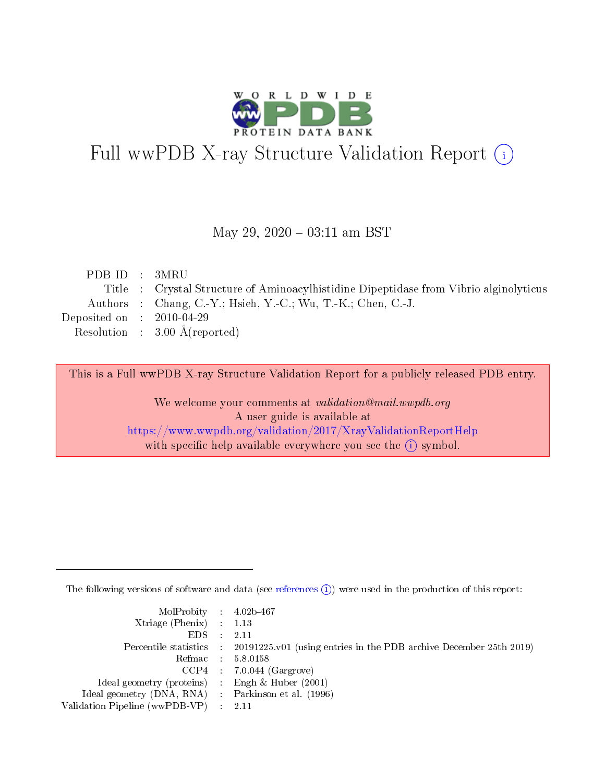

# Full wwPDB X-ray Structure Validation Report (i)

#### May 29,  $2020 - 03:11$  am BST

| PDB ID : 3MRU               |                                                                                       |
|-----------------------------|---------------------------------------------------------------------------------------|
|                             | Title : Crystal Structure of Aminoacylhistidine Dipeptidase from Vibrio alginolyticus |
|                             | Authors : Chang, C.-Y.; Hsieh, Y.-C.; Wu, T.-K.; Chen, C.-J.                          |
| Deposited on : $2010-04-29$ |                                                                                       |
|                             | Resolution : $3.00 \text{ Å}$ (reported)                                              |
|                             |                                                                                       |

This is a Full wwPDB X-ray Structure Validation Report for a publicly released PDB entry.

We welcome your comments at validation@mail.wwpdb.org A user guide is available at <https://www.wwpdb.org/validation/2017/XrayValidationReportHelp> with specific help available everywhere you see the  $(i)$  symbol.

The following versions of software and data (see [references](https://www.wwpdb.org/validation/2017/XrayValidationReportHelp#references)  $(i)$ ) were used in the production of this report:

| $MolProbability$ 4.02b-467                          |                                                                                            |
|-----------------------------------------------------|--------------------------------------------------------------------------------------------|
| Xtriage (Phenix) $: 1.13$                           |                                                                                            |
| $EDS$ :                                             | -2.11                                                                                      |
|                                                     | Percentile statistics : 20191225.v01 (using entries in the PDB archive December 25th 2019) |
|                                                     | Refmac : 5.8.0158                                                                          |
|                                                     | $CCP4$ : 7.0.044 (Gargrove)                                                                |
| Ideal geometry (proteins) : Engh $\&$ Huber (2001)  |                                                                                            |
| Ideal geometry (DNA, RNA) : Parkinson et al. (1996) |                                                                                            |
| Validation Pipeline (wwPDB-VP)                      | -2.11                                                                                      |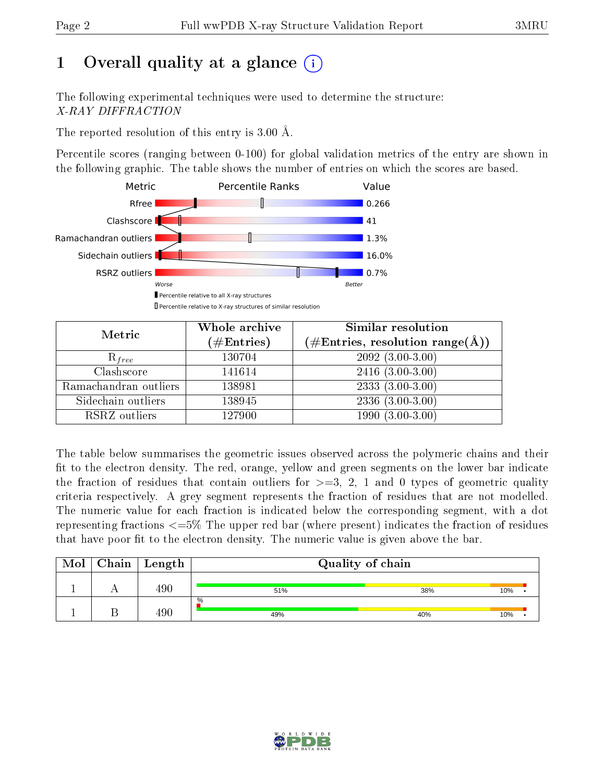## 1 [O](https://www.wwpdb.org/validation/2017/XrayValidationReportHelp#overall_quality)verall quality at a glance  $(i)$

The following experimental techniques were used to determine the structure: X-RAY DIFFRACTION

The reported resolution of this entry is 3.00 Å.

Percentile scores (ranging between 0-100) for global validation metrics of the entry are shown in the following graphic. The table shows the number of entries on which the scores are based.



| Metric                | Whole archive<br>$(\#\text{Entries})$ | Similar resolution<br>$(\#\text{Entries}, \text{resolution range}(\text{\AA}))$ |  |  |
|-----------------------|---------------------------------------|---------------------------------------------------------------------------------|--|--|
| $R_{free}$            | 130704                                | $2092(3.00-3.00)$                                                               |  |  |
| Clashscore            | 141614                                | $2416(3.00-3.00)$                                                               |  |  |
| Ramachandran outliers | 138981                                | $2333(3.00-3.00)$                                                               |  |  |
| Sidechain outliers    | 138945                                | $2336(3.00-3.00)$                                                               |  |  |
| RSRZ outliers         | 127900                                | $1990(3.00-3.00)$                                                               |  |  |

The table below summarises the geometric issues observed across the polymeric chains and their fit to the electron density. The red, orange, yellow and green segments on the lower bar indicate the fraction of residues that contain outliers for  $>=$  3, 2, 1 and 0 types of geometric quality criteria respectively. A grey segment represents the fraction of residues that are not modelled. The numeric value for each fraction is indicated below the corresponding segment, with a dot representing fractions  $\epsilon=5\%$  The upper red bar (where present) indicates the fraction of residues that have poor fit to the electron density. The numeric value is given above the bar.

| Mol | Chain | Length | Quality of chain |     |     |  |
|-----|-------|--------|------------------|-----|-----|--|
|     |       | 490    | 51%              | 38% | 10% |  |
|     |       | 490    | $\%$<br>49%      | 40% | 10% |  |

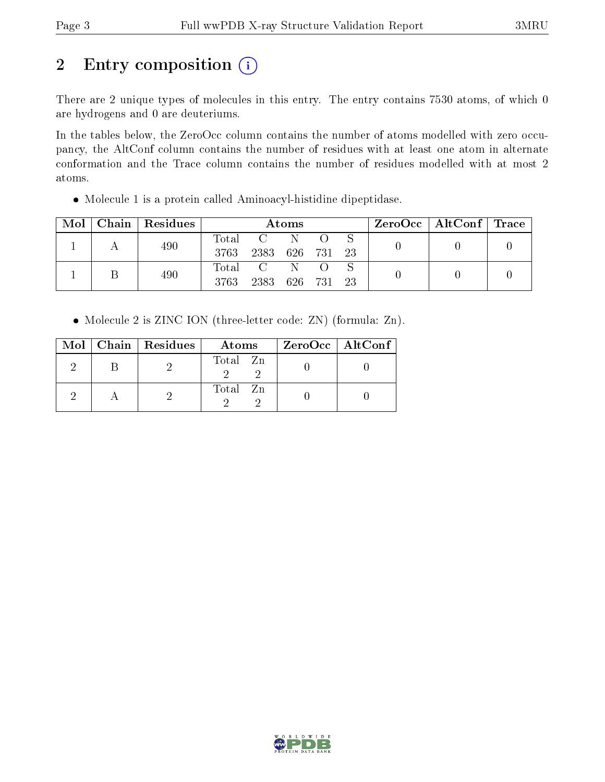# 2 Entry composition (i)

There are 2 unique types of molecules in this entry. The entry contains 7530 atoms, of which 0 are hydrogens and 0 are deuteriums.

In the tables below, the ZeroOcc column contains the number of atoms modelled with zero occupancy, the AltConf column contains the number of residues with at least one atom in alternate conformation and the Trace column contains the number of residues modelled with at most 2 atoms.

Molecule 1 is a protein called Aminoacyl-histidine dipeptidase.

| Mol | Chain   Residues | Atoms               |      |         |  | $ZeroOcc \mid AltConf \mid Trace \mid$ |  |  |
|-----|------------------|---------------------|------|---------|--|----------------------------------------|--|--|
|     | 490              | $\rm Total$<br>3763 | 2383 | 626 731 |  | 23                                     |  |  |
|     | 490              | Total<br>3763       | 2383 | 626 731 |  | 23                                     |  |  |

• Molecule 2 is ZINC ION (three-letter code: ZN) (formula: Zn).

|  | $Mol$   Chain   Residues | Atoms    | ZeroOcc   AltConf |  |
|--|--------------------------|----------|-------------------|--|
|  |                          | Total Zn |                   |  |
|  |                          | Total Zn |                   |  |

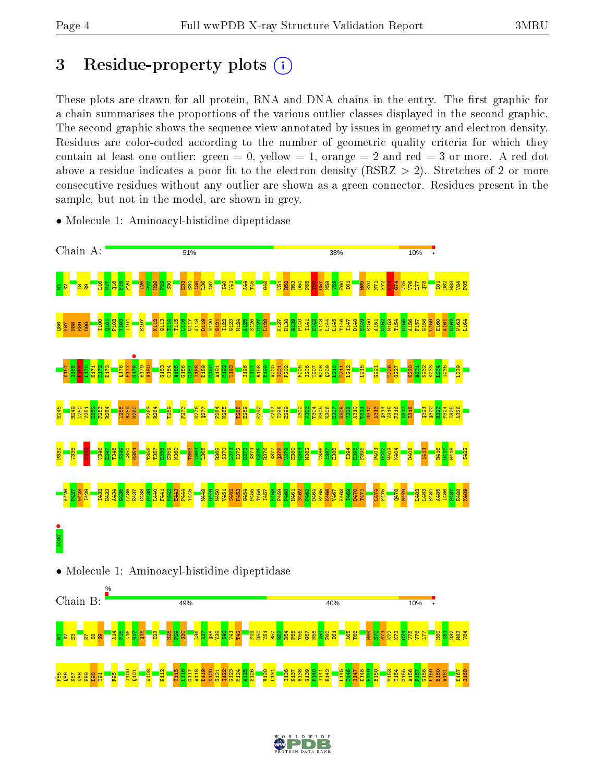## 3 Residue-property plots  $(i)$

These plots are drawn for all protein, RNA and DNA chains in the entry. The first graphic for a chain summarises the proportions of the various outlier classes displayed in the second graphic. The second graphic shows the sequence view annotated by issues in geometry and electron density. Residues are color-coded according to the number of geometric quality criteria for which they contain at least one outlier: green  $= 0$ , yellow  $= 1$ , orange  $= 2$  and red  $= 3$  or more. A red dot above a residue indicates a poor fit to the electron density (RSRZ  $> 2$ ). Stretches of 2 or more consecutive residues without any outlier are shown as a green connector. Residues present in the sample, but not in the model, are shown in grey.



• Molecule 1: Aminoacyl-histidine dipeptidase





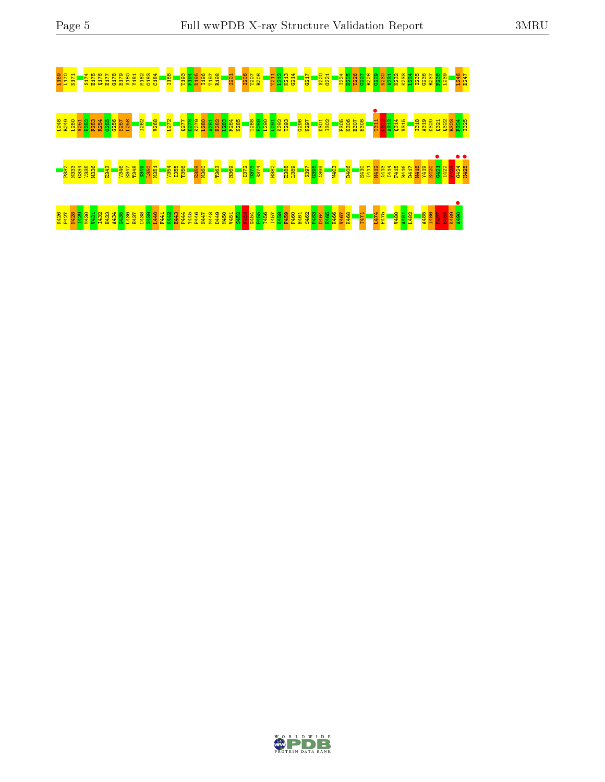

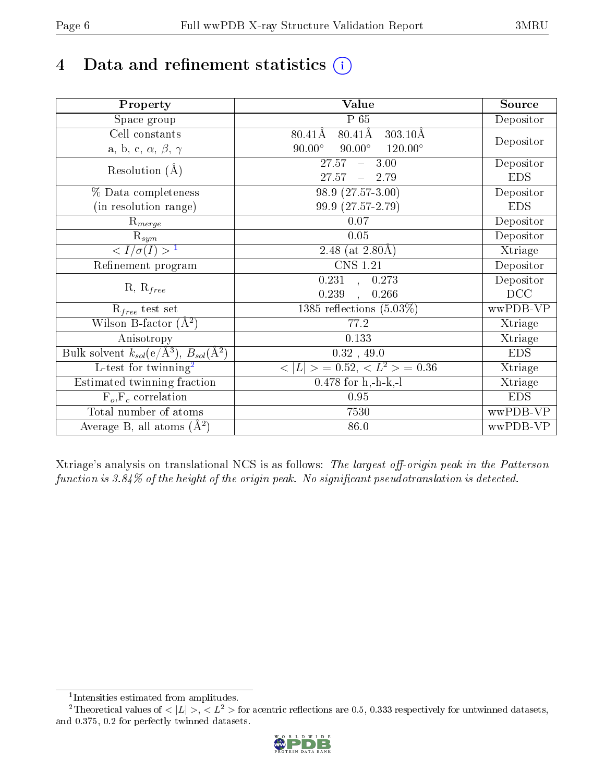# 4 Data and refinement statistics  $(i)$

| Property                                                             | Value                                                        | Source     |
|----------------------------------------------------------------------|--------------------------------------------------------------|------------|
| Space group                                                          | $P_65$                                                       | Depositor  |
| Cell constants                                                       | $80.41\text{\AA}$<br>$303.10\text{\AA}$<br>$80.41\text{\AA}$ |            |
| a, b, c, $\alpha$ , $\beta$ , $\gamma$                               | $90.00^\circ$<br>$120.00^\circ$<br>$90.00^\circ$             | Depositor  |
| Resolution $(A)$                                                     | 27.57<br>3.00<br>$\equiv$                                    | Depositor  |
|                                                                      | 27.57<br>2.79                                                | <b>EDS</b> |
| % Data completeness                                                  | 98.9 (27.57-3.00)                                            | Depositor  |
| (in resolution range)                                                | 99.9 (27.57-2.79)                                            | <b>EDS</b> |
| $R_{merge}$                                                          | 0.07                                                         | Depositor  |
| $\mathrm{R}_{sym}$                                                   | $0.05\,$                                                     | Depositor  |
| $\sqrt{I/\sigma}(I) > 1$                                             | 2.48 (at $2.80\text{\AA})$                                   | Xtriage    |
| Refinement program                                                   | <b>CNS 1.21</b>                                              | Depositor  |
|                                                                      | 0.231<br>0.273<br>$\sim$                                     | Depositor  |
| $R, R_{free}$                                                        | 0.239<br>0.266                                               | DCC        |
| $R_{free}$ test set                                                  | 1385 reflections $(5.03\%)$                                  | wwPDB-VP   |
| Wilson B-factor $(A^2)$                                              | 77.2                                                         | Xtriage    |
| Anisotropy                                                           | 0.133                                                        | Xtriage    |
| Bulk solvent $k_{sol}(e/\mathring{A}^3)$ , $B_{sol}(\mathring{A}^2)$ | 0.32, 49.0                                                   | <b>EDS</b> |
| $\overline{L-test for}$ twinning <sup>2</sup>                        | $< L >$ = 0.52, $< L2$ = 0.36                                | Xtriage    |
| Estimated twinning fraction                                          | $0.478$ for h,-h-k,-l                                        | Xtriage    |
| $F_o, F_c$ correlation                                               | 0.95                                                         | <b>EDS</b> |
| Total number of atoms                                                | 7530                                                         | wwPDB-VP   |
| Average B, all atoms $(A^2)$                                         | 86.0                                                         | wwPDB-VP   |

Xtriage's analysis on translational NCS is as follows: The largest off-origin peak in the Patterson function is  $3.84\%$  of the height of the origin peak. No significant pseudotranslation is detected.

<sup>&</sup>lt;sup>2</sup>Theoretical values of  $\langle |L| \rangle$ ,  $\langle L^2 \rangle$  for acentric reflections are 0.5, 0.333 respectively for untwinned datasets, and 0.375, 0.2 for perfectly twinned datasets.



<span id="page-5-1"></span><span id="page-5-0"></span><sup>1</sup> Intensities estimated from amplitudes.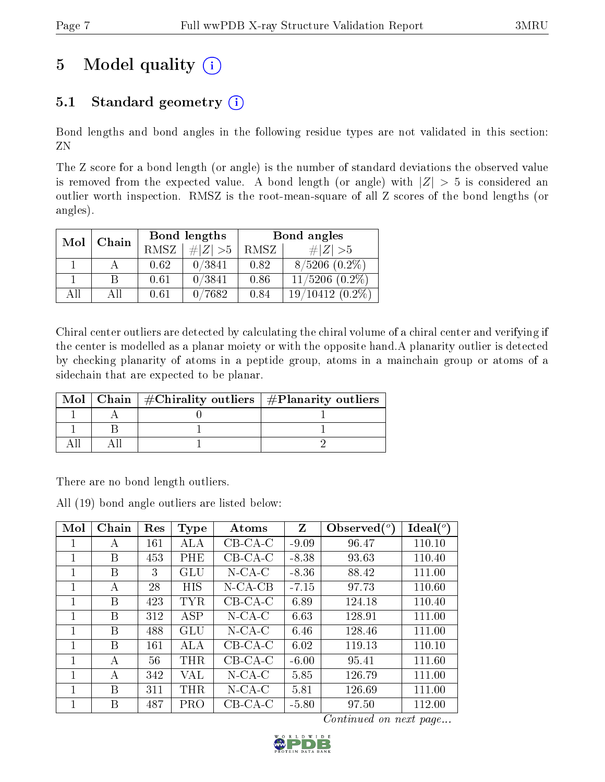# 5 Model quality  $(i)$

## 5.1 Standard geometry  $(i)$

Bond lengths and bond angles in the following residue types are not validated in this section: ZN

The Z score for a bond length (or angle) is the number of standard deviations the observed value is removed from the expected value. A bond length (or angle) with  $|Z| > 5$  is considered an outlier worth inspection. RMSZ is the root-mean-square of all Z scores of the bond lengths (or angles).

| Mol | Chain |                   | Bond lengths | Bond angles |                     |  |
|-----|-------|-------------------|--------------|-------------|---------------------|--|
|     |       | RMSZ <sup>1</sup> | $\# Z  > 5$  | RMSZ        | # $ Z  > 5$         |  |
|     |       | 0.62              | 0/3841       | 0.82        | $8/5206$ $(0.2\%)$  |  |
|     |       | 0.61              | 0/3841       | 0.86        | $11/5206$ $(0.2\%)$ |  |
| AП  | AII   | 0.61              | 0/7682       | 0.84        | $19/10412(0.2\%)$   |  |

Chiral center outliers are detected by calculating the chiral volume of a chiral center and verifying if the center is modelled as a planar moiety or with the opposite hand.A planarity outlier is detected by checking planarity of atoms in a peptide group, atoms in a mainchain group or atoms of a sidechain that are expected to be planar.

| Mol | Chain   $\#\text{Chirality outliers}$   $\#\text{Planarity outliers}$ |  |
|-----|-----------------------------------------------------------------------|--|
|     |                                                                       |  |
|     |                                                                       |  |
|     |                                                                       |  |

There are no bond length outliers.

All (19) bond angle outliers are listed below:

| Mol | Chain        | Res | Type       | Atoms      | Z       | Observed $(°)$ | Ideal $(^\circ)$ |
|-----|--------------|-----|------------|------------|---------|----------------|------------------|
|     | А            | 161 | <b>ALA</b> | $CB-CA-C$  | $-9.09$ | 96.47          | 110.10           |
| 1   | В            | 453 | PHE        | $CB-CA-C$  | $-8.38$ | 93.63          | 110.40           |
| 1   | В            | 3   | GLU        | $N$ -CA-C  | $-8.36$ | 88.42          | 111.00           |
|     | А            | 28  | HIS        | $N$ -CA-CB | $-7.15$ | 97.73          | 110.60           |
| 1   | B            | 423 | TYR        | $CB-CA-C$  | 6.89    | 124.18         | 110.40           |
| 1   | B            | 312 | ASP        | $N$ -CA-C  | 6.63    | 128.91         | 111.00           |
| 1   | В            | 488 | <b>GLU</b> | $N$ -CA-C  | 6.46    | 128.46         | 111.00           |
| 1   | В            | 161 | ALA        | $CB-CA-C$  | 6.02    | 119.13         | 110.10           |
|     | $\mathbf{A}$ | 56  | <b>THR</b> | $CB-CA-C$  | $-6.00$ | 95.41          | 111.60           |
|     | А            | 342 | VAL        | $N$ -CA-C  | 5.85    | 126.79         | 111.00           |
| 1   | В            | 311 | THR        | $N$ -CA-C  | 5.81    | 126.69         | 111.00           |
|     | В            | 487 | <b>PRO</b> | $CB-CA-C$  | $-5.80$ | 97.50          | 112.00           |

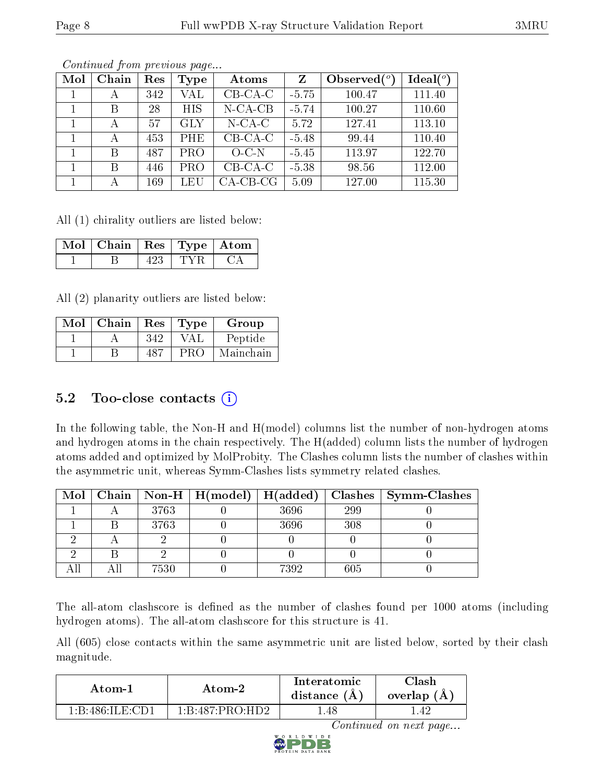| Mol | Chain | Res | Type       | Atoms       | $Z_{\rm}$ | Observed $(°)$ | Ideal $(°)$ |
|-----|-------|-----|------------|-------------|-----------|----------------|-------------|
|     | А     | 342 | VAL        | $CB-CA-C$   | $-5.75$   | 100.47         | 111.40      |
|     | В     | 28  | <b>HIS</b> | $N$ -CA-CB  | $-5.74$   | 100.27         | 110.60      |
|     | А     | 57  | <b>GLY</b> | $N$ -CA-C   | 5.72      | 127.41         | 113.10      |
|     | А     | 453 | PHE        | $CB-CA-C$   | $-5.48$   | 99.44          | 110.40      |
|     | B     | 487 | <b>PRO</b> | $O-C-N$     | $-5.45$   | 113.97         | 122.70      |
|     | B     | 446 | <b>PRO</b> | $CB-CA-C$   | $-5.38$   | 98.56          | 112.00      |
|     |       | 169 | LEU        | $CA$ -CB-CG | 5.09      | 127.00         | 115.30      |

All (1) chirality outliers are listed below:

| Mol | Chain   $\text{Res}$   $\text{Type}$   Atom |  |  |
|-----|---------------------------------------------|--|--|
|     |                                             |  |  |

All (2) planarity outliers are listed below:

| Mol | Chain | Res | <b>Type</b> | Group     |
|-----|-------|-----|-------------|-----------|
|     |       | 342 |             | Peptide   |
|     |       | 187 | PRC         | Mainchain |

### 5.2 Too-close contacts  $(i)$

In the following table, the Non-H and H(model) columns list the number of non-hydrogen atoms and hydrogen atoms in the chain respectively. The H(added) column lists the number of hydrogen atoms added and optimized by MolProbity. The Clashes column lists the number of clashes within the asymmetric unit, whereas Symm-Clashes lists symmetry related clashes.

| $\text{Mol}$ |      | Chain   Non-H   $H (model)$   $H (added)$ |      |     | $Class \mid Symm-Class$ |
|--------------|------|-------------------------------------------|------|-----|-------------------------|
|              | 3763 |                                           | 3696 | 299 |                         |
|              | 3763 |                                           | 3696 | 308 |                         |
|              |      |                                           |      |     |                         |
|              |      |                                           |      |     |                         |
|              | 7530 |                                           | 7392 | 605 |                         |

The all-atom clashscore is defined as the number of clashes found per 1000 atoms (including hydrogen atoms). The all-atom clashscore for this structure is 41.

All (605) close contacts within the same asymmetric unit are listed below, sorted by their clash magnitude.

| Atom-1          | Atom-2                                     | Interatomic<br>distance (A) | $\gamma$ lash<br>overlap (A) |
|-----------------|--------------------------------------------|-----------------------------|------------------------------|
| 1 B 486 ILE CD1 | $1 \cdot R \cdot 487 \cdot PRO \cdot H D2$ | - 48 -                      | 4.                           |

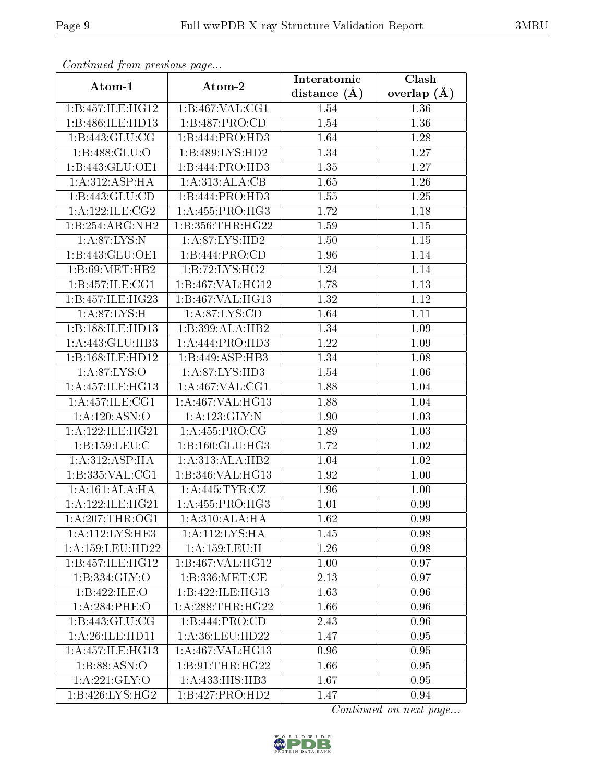| Commaca from previous page   |                              | Interatomic    | Clash         |
|------------------------------|------------------------------|----------------|---------------|
| Atom-1                       | Atom-2                       | distance $(A)$ | overlap $(A)$ |
| 1:B:457:ILE:HG12             | 1:B:467:VAL:CG1              | 1.54           | 1.36          |
| 1:B:486:ILE:HD13             | 1:B:487:PRO:CD               | 1.54           | 1.36          |
| 1: B: 443: GLU: CG           | 1:B:444:PRO:HD3              | 1.64           | 1.28          |
| 1:B:488:GLU:O                | 1:B:489:LYS:HD2              | 1.34           | 1.27          |
| $1:B:443:GL\overline{U:OE1}$ | 1:B:444:PRO:HD3              | 1.35           | 1.27          |
| 1: A:312: ASP:HA             | 1:A:313:ALA:CB               | 1.65           | 1.26          |
| 1:B:443:GLU:CD               | 1:B:444:PRO:HD3              | 1.55           | 1.25          |
| 1: A:122: ILE: CG2           | 1: A: 455: PRO:HG3           | 1.72           | 1.18          |
| 1:B:254:ARG:NH2              | 1: B: 356: THR: HG22         | 1.59           | $1.15\,$      |
| 1: A:87: LYS:N               | 1: A:87: LYS: HD2            | 1.50           | 1.15          |
| 1:B:443:GLU:OE1              | 1:B:444:PRO:CD               | 1.96           | 1.14          |
| 1:B:69:MET:HB2               | 1:B:72:LYS:HG2               | 1.24           | 1.14          |
| 1:B:457:ILE:CG1              | 1:B:467:VAL:HG12             | 1.78           | 1.13          |
| 1:B:457:ILE:HG23             | 1:B:467:VAL:HG13             | 1.32           | 1.12          |
| 1:A:87:LYS:H                 | 1: A:87: LYS:CD              | 1.64           | 1.11          |
| 1:B:188:ILE:HD13             | 1:B:399:ALA:HB2              | 1.34           | 1.09          |
| 1:A:443:GLU:HB3              | 1:A:444:PRO:HD3              | 1.22           | 1.09          |
| 1:B:168:ILE:HD12             | 1:B:449:ASP:HB3              | 1.34           | 1.08          |
| 1:A:87:LYS:O                 | 1:A:87:LYS:HD3               | 1.54           | 1.06          |
| 1:A:457:ILE:HG13             | 1: A:467: VAL:CG1            | 1.88           | 1.04          |
| 1:A:457:ILE:CG1              | 1:A:467:VAL:HG13             | 1.88           | 1.04          |
| 1: A: 120: ASN:O             | 1: A: 123: GLY: N            | 1.90           | 1.03          |
| 1: A: 122: ILE: HG21         | 1: A: 455: PRO: CG           | 1.89           | 1.03          |
| 1:B:159:LEU:C                | 1: B: 160: GLU: HG3          | 1.72           | 1.02          |
| 1: A:312: ASP:HA             | 1:A:313:ALA:HB2              | 1.04           | 1.02          |
| 1: B: 335: VAL: CG1          | 1:B:346:VAL:H <sub>G13</sub> | 1.92           | 1.00          |
| 1: A:161: ALA:HA             | 1: A:445: TYR: CZ            | 1.96           | 1.00          |
| 1:A:122:ILE:HG21             | 1:A:455:PRO:HG3              | 1.01           | 0.99          |
| 1: A:207:THR:OG1             | 1:A:310:ALA:HA               | 1.62           | 0.99          |
| 1:A:112:LYS:HE3              | 1:A:112:LYS:HA               | 1.45           | 0.98          |
| 1: A: 159: LEU: HD22         | 1: A: 159: LEU:H             | 1.26           | 0.98          |
| 1:B:457:ILE:HGI2             | 1:B:467:VAL:HG12             | 1.00           | 0.97          |
| 1:B:334:GLY:O                | 1: B: 336: MET:CE            | 2.13           | 0.97          |
| 1:B:422:ILE:O                | 1:B:422:ILE:HG13             | 1.63           | 0.96          |
| 1:A:284:PHE:O                | 1: A:288:THR:HG22            | 1.66           | 0.96          |
| 1:B:443:GLU:CG               | 1:B:444:PRO:CD               | 2.43           | 0.96          |
| 1:A:26:ILE:HD11              | 1: A:36:LEU:HD22             | 1.47           | 0.95          |
| 1:A:457:ILE:HG13             | 1:A:467:VAL:HG13             | 0.96           | 0.95          |
| 1:B:88:ASN:O                 | 1: B: 91: THR: HG22          | 1.66           | 0.95          |
| 1: A:221: GLY:O              | 1:A:433:HIS:HB3              | 1.67           | 0.95          |
| 1:B:426:LYS:HG2              | 1:B:427:PRO:HD2              | 1.47           | 0.94          |

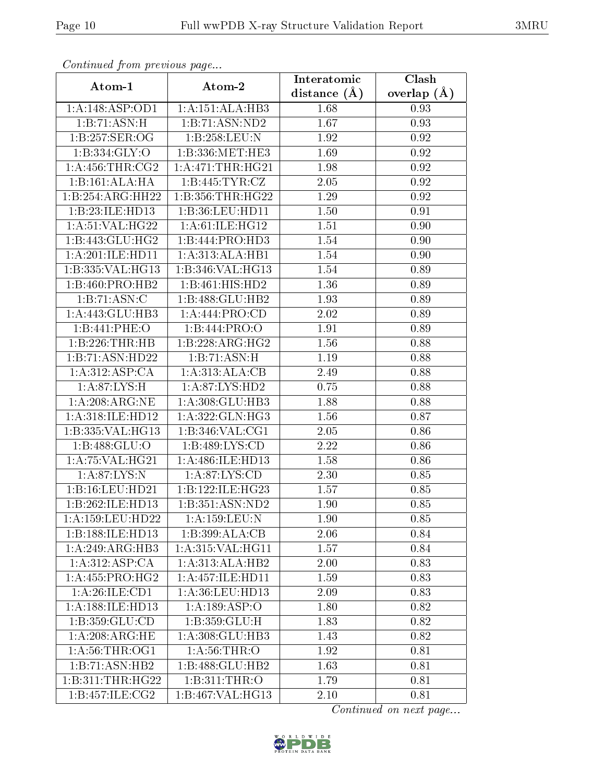| Continuea from previous page      |                              | Interatomic        | Clash           |
|-----------------------------------|------------------------------|--------------------|-----------------|
| Atom-1                            | Atom-2                       | distance $(A)$     | overlap $(\AA)$ |
| 1:A:148:ASP:OD1                   | 1:A:151:ALA:HB3              | 1.68               | 0.93            |
| 1:B:71:ASN:H                      | 1:B:71:ASN:ND2               | 1.67               | 0.93            |
| 1:B:257:SER:OG                    | 1:B:258:LEU:N                | 1.92               | 0.92            |
| 1:B:334:GLY:O                     | 1:B:336:MET:HE3              | 1.69               | 0.92            |
| 1: A: 456: THR: CG2               | 1: A:471:THR:HG21            | 1.98               | 0.92            |
| 1:B:161:ALA:HA                    | 1:B:445:TYR:CZ               | 2.05               | 0.92            |
| 1:B:254:ARG:HH22                  | 1:B:356:THR:HG22             | 1.29               | 0.92            |
| 1:B:23:ILE:HD13                   | 1:B:36:LEU:HD11              | 1.50               | 0.91            |
| 1: A:51: VAL:HG22                 | 1: A:61:ILE: HG12            | 1.51               | 0.90            |
| 1:B:443:GLU:HG2                   | 1:B:444:PRO:HD3              | 1.54               | 0.90            |
| 1:A:201:ILE:HD11                  | 1:A:313:ALA:HB1              | 1.54               | 0.90            |
| 1:B:335:VAL:HG13                  | 1:B:346: VAL: HG13           | 1.54               | 0.89            |
| 1:B:460:PRO:HB2                   | $1:B:461:HIS:H\overline{D2}$ | 1.36               | 0.89            |
| 1:B:71:ASN:C                      | 1:B:488:GLU:HB2              | 1.93               | 0.89            |
| 1:A:443:GLU:HB3                   | $1:A:444:PRO:\overline{CD}$  | 2.02               | 0.89            |
| 1:B:441:PHE:O                     | 1:B:444:PRO:O                | 1.91               | 0.89            |
| 1:B:226:THR:HB                    | 1:B:228:ARG:HG2              | 1.56               | 0.88            |
| 1:B:71:ASN:HD22                   | 1:B:71:ASN:H                 | 1.19               | 0.88            |
| 1:A:312:ASP:CA                    | 1:A:313:ALA:CB               | 2.49               | 0.88            |
| 1: A:87: LYS:H                    | 1: A:87: LYS: HD2            | 0.75               | 0.88            |
| $1: A:208: \overline{ARG:NE}$     | 1:A:308:GLU:HB3              | $\overline{1}$ .88 | 0.88            |
| 1:A:318:ILE:HD12                  | 1:A:322:GLN:HG3              | 1.56               | 0.87            |
| 1:B:335:VAL:HG13                  | 1:B:346:VAL:CG1              | 2.05               | 0.86            |
| 1:B:488:GLU:O                     | 1:B:489:LYS:CD               | 2.22               | 0.86            |
| 1: A:75: VAL:HG21                 | 1:A:486:ILE:HD13             | 1.58               | 0.86            |
| $1: A:87:\overline{\text{LYS:N}}$ | 1: A:87: LYS:CD              | 2.30               | 0.85            |
| 1:B:16:LEU:HD21                   | 1:B:122:ILE:HG23             | 1.57               | 0.85            |
| 1:B:262:ILE:HD13                  | 1:B:351:ASN:ND2              | 1.90               | 0.85            |
| 1: A:159:LEU:HD22                 | 1: A: 159: LEU: N            | 1.90               | 0.85            |
| 1:B:188:ILE:HD13                  | 1:B:399:ALA:CB               | 2.06               | 0.84            |
| 1: A:249: ARG:HB3                 | 1: A:315: VAL:HGI1           | 1.57               | 0.84            |
| 1:A:312:ASP:CA                    | 1:A:313:ALA:HB2              | 2.00               | 0.83            |
| 1: A: 455: PRO:HG2                | 1: A: 457: ILE: HD11         | 1.59               | 0.83            |
| 1: A:26: ILE: CD1                 | 1: A:36: LEU: HD13           | 2.09               | 0.83            |
| 1:A:188:ILE:HD13                  | 1:A:189:ASP:O                | 1.80               | 0.82            |
| 1: B: 359: GLU: CD                | 1:B:359:GLU:H                | 1.83               | 0.82            |
| 1: A:208: ARG: HE                 | 1:A:308:GLU:HB3              | 1.43               | 0.82            |
| 1: A:56:THR:OG1                   | 1: A:56:THR:O                | 1.92               | 0.81            |
| 1:B:71:ASN:HB2                    | 1:B:488:GLU:HB2              | 1.63               | 0.81            |
| 1:B:311:THR:HG22                  | 1:B:311:THR:O                | 1.79               | 0.81            |
| 1:B:457:ILE:CG2                   | 1:B:467:VAL:HG13             | 2.10               | 0.81            |

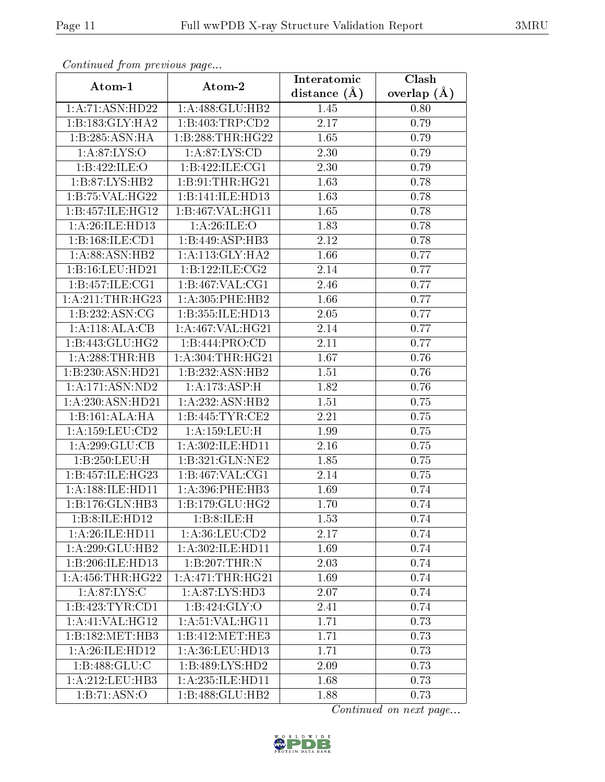| Continuea from previous page     |                              | Interatomic    | Clash         |
|----------------------------------|------------------------------|----------------|---------------|
| Atom-1                           | Atom-2                       | distance $(A)$ | overlap $(A)$ |
| 1: A:71: ASN: HD22               | 1:A:488:GLU:HB2              | 1.45           | 0.80          |
| 1:B:183:GLY:HA2                  | 1:B:403:TRP:CD2              | 2.17           | 0.79          |
| 1:B:285:ASN:HA                   | 1:B:288:THR:HG22             | 1.65           | 0.79          |
| $1:A:87:\overline{\text{LYS:O}}$ | 1: A:87: LYS:CD              | 2.30           | 0.79          |
| 1:B:422:ILE:O                    | 1:B:422:ILE:CG1              | 2.30           | 0.79          |
| 1:B:87:LYS:HB2                   | 1:B:91:THR:HG21              | 1.63           | 0.78          |
| 1:B:75:VAL:HG22                  | 1:B:141:ILE:HD13             | 1.63           | 0.78          |
| 1:B:457:ILE:HG12                 | 1:B:467:VAL:HG11             | 1.65           | 0.78          |
| 1: A:26: ILE: HD13               | 1: A:26: ILE: O              | 1.83           | 0.78          |
| 1:B:168:ILE:CD1                  | 1:B:449:ASP:HB3              | 2.12           | 0.78          |
| 1:A:88:ASN:HB2                   | 1:A:113:GLY:HA2              | 1.66           | 0.77          |
| 1:B:16:LEU:HD21                  | 1:B:122:ILE:CG2              | 2.14           | 0.77          |
| 1:B:457:ILE:CG1                  | 1:B:467:VAL:CG1              | 2.46           | 0.77          |
| 1: A:211:THR:HG23                | 1:A:305:PHE:HB2              | 1.66           | 0.77          |
| 1:B:232:ASN:CG                   | 1:B:355:ILE:HD13             | 2.05           | 0.77          |
| 1:A:118:ALA:CB                   | 1:A:467:VAL:HG21             | 2.14           | 0.77          |
| 1:B:443:GLU:HG2                  | 1:B:444:PRO:CD               | 2.11           | 0.77          |
| 1:A:288:THR:HB                   | 1: A: 304: THR: HG21         | 1.67           | 0.76          |
| 1:B:230:ASN:HD21                 | 1:B:232:ASN:HB2              | 1.51           | 0.76          |
| 1: A:171: ASN: ND2               | 1:A:173:ASP:H                | 1.82           | 0.76          |
| 1:A:230:ASN:HD21                 | 1:A:232:ASN:HB2              | 1.51           | 0.75          |
| 1:B:161:ALA:HA                   | 1:B:445:TYR:CE2              | 2.21           | 0.75          |
| 1: A: 159: LEU: CD2              | 1: A: 159: LEU:H             | 1.99           | 0.75          |
| 1:A:299:GLU:CB                   | 1:A:302:ILE:HD11             | 2.16           | 0.75          |
| 1:B:250:LEU:H                    | 1:B:321:GLN:NE2              | 1.85           | 0.75          |
| 1:B:457:ILE:HG23                 | 1:B:467:VAL:CG1              | 2.14           | 0.75          |
| 1: A: 188: ILE: HD11             | 1:A:396:PHE:HB3              | 1.69           | 0.74          |
| 1:B:176:GLN:HB3                  | 1:B:179:GLU:HG2              | 1.70           | 0.74          |
| 1:B:8:ILE:HD12                   | 1:B:8:ILE:H                  | 1.53           | 0.74          |
| 1:A:26:ILE:HD11                  | 1: A:36:LEU:CD2              | 2.17           | 0.74          |
| 1:A:299:GLU:HB2                  | 1: A:302: ILE: HD11          | 1.69           | 0.74          |
| 1:B:206:ILE:HD13                 | 1:B:207:THR:N                | 2.03           | 0.74          |
| 1: A: 456: THR: HG22             | 1: A:471:THR:HG21            | 1.69           | 0.74          |
| 1: A:87: LYS:C                   | 1:A:87:LYS:HD3               | 2.07           | 0.74          |
| 1:B:423:TYR:CD1                  | 1:B:424:GLY:O                | 2.41           | 0.74          |
| 1:A:41:VAL:HG12                  | 1: A:51:VAL:HG11             | 1.71           | 0.73          |
| 1:B:182:MET:HB3                  | 1:B:412:MET:HE3              | 1.71           | 0.73          |
| 1:A:26:ILE:HD12                  | 1: A:36: LEU: HD13           | 1.71           | 0.73          |
| 1:B:488:GLU:C                    | 1:B:489:LYS:HD2              | 2.09           | 0.73          |
| 1: A:212:LEU:HB3                 | 1: A:235: ILE: HD11          | 1.68           | 0.73          |
| 1:B:71:ASN:O                     | $1:B:488:GL\overline{U:HB2}$ | 1.88           | 0.73          |

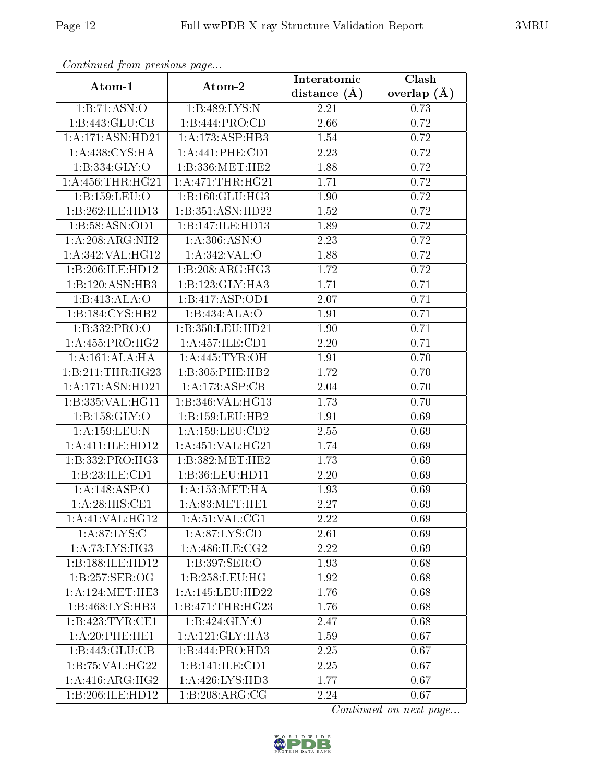| Commaca jibin previous page |                     | Interatomic    | Clash         |
|-----------------------------|---------------------|----------------|---------------|
| Atom-1                      | Atom-2              | distance $(A)$ | overlap $(A)$ |
| 1:B:71:ASN:O                | 1:B:489:LYS:N       | 2.21           | 0.73          |
| 1:B:443:GLU:CB              | 1:B:444:PRO:CD      | 2.66           | 0.72          |
| 1:A:171:ASN:HD21            | 1:A:173:ASP:HB3     | $1.54\,$       | 0.72          |
| 1:A:438:CYS:HA              | 1: A:441:PHE:CD1    | 2.23           | 0.72          |
| 1: B: 334: GLY:O            | 1:B:336:MET:HE2     | 1.88           | 0.72          |
| 1: A: 456: THR: HG21        | 1: A:471:THR:HG21   | 1.71           | 0.72          |
| 1:B:159:LEU:O               | 1:B:160:GLU:HG3     | 1.90           | 0.72          |
| 1:B:262:ILE:HD13            | 1:B:351:ASN:HD22    | 1.52           | 0.72          |
| 1:B:58:ASN:OD1              | 1:B:147:ILE:HD13    | 1.89           | 0.72          |
| 1:A:208:ARG:NH2             | 1: A:306: ASN:O     | 2.23           | 0.72          |
| 1: A:342:VAL:HG12           | 1:A:342:VAL:O       | 1.88           | 0.72          |
| 1:B:206:ILE:HD12            | 1:B:208:ARG:HG3     | 1.72           | 0.72          |
| 1:B:120:ASN:HB3             | 1:B:123:GLY:HA3     | 1.71           | 0.71          |
| 1:B:413:ALA:O               | 1:B:417:ASP:OD1     | 2.07           | 0.71          |
| 1:B:184:CYS:HB2             | 1:B:434:ALA:O       | 1.91           | 0.71          |
| 1:B:332:PRO:O               | 1:B:350:LEU:HD21    | 1.90           | 0.71          |
| 1: A: 455: PRO:HG2          | 1:A:457:ILE:CD1     | 2.20           | 0.71          |
| 1:A:161:ALA:HA              | 1: A:445: TYR:OH    | 1.91           | 0.70          |
| 1:B:211:THR:HG23            | 1:B:305:PHE:HB2     | 1.72           | 0.70          |
| 1:A:171:ASN:HD21            | 1:A:173:ASP:CB      | 2.04           | 0.70          |
| 1:B:335:VAL:HG11            | 1:B:346:VAL:HG13    | 1.73           | 0.70          |
| 1: B: 158: GLY:O            | 1: B: 159: LEU: HB2 | 1.91           | 0.69          |
| 1:A:159:LEU:N               | 1:A:159:LEU:CD2     | 2.55           | 0.69          |
| 1:A:411:ILE:HD12            | 1:A:451:VAL:HG21    | 1.74           | 0.69          |
| 1:B:332:PRO:HG3             | 1:B:382:MET:HE2     | 1.73           | 0.69          |
| 1:B:23:ILE:CD1              | 1:B:36:LEU:HD11     | 2.20           | 0.69          |
| 1: A:148: ASP:O             | 1: A: 153: MET: HA  | 1.93           | 0.69          |
| 1:A:28:HIS:CE1              | 1: A:83: MET:HE1    | 2.27           | 0.69          |
| 1:A:41:VAL:HG12             | 1:A:51:VAL:CG1      | 2.22           | 0.69          |
| 1: A:87: LYS:C              | 1: A:87: LYS:CD     | 2.61           | 0.69          |
| $1:\overline{A:73:L}YS:HG3$ | 1:A:486:ILE:CG2     | 2.22           | 0.69          |
| 1:B:188:ILE:HD12            | 1:B:397:SER:O       | 1.93           | 0.68          |
| 1:B:257:SER:OG              | 1:B:258:LEU:HG      | 1.92           | 0.68          |
| 1: A:124: MET:HE3           | 1: A:145:LEU:HD22   | 1.76           | 0.68          |
| 1:B:468:LYS:HB3             | 1:B:471:THR:HG23    | 1.76           | 0.68          |
| 1:B:423:TYR:CE1             | 1: B: 424: GLY: O   | 2.47           | 0.68          |
| 1: A:20: PHE:HE1            | 1:A:121:GLY:HA3     | 1.59           | 0.67          |
| 1:B:443:GLU:CB              | 1:B:444:PRO:HD3     | 2.25           | 0.67          |
| 1:B:75:VAL:HG22             | 1:B:141:ILE:CD1     | 2.25           | 0.67          |
| 1:A:416:ARG:HG2             | 1:A:426:LYS:HD3     | 1.77           | 0.67          |
| 1:B:206:ILE:HD12            | 1:B:208:ARG:CG      | 2.24           | 0.67          |

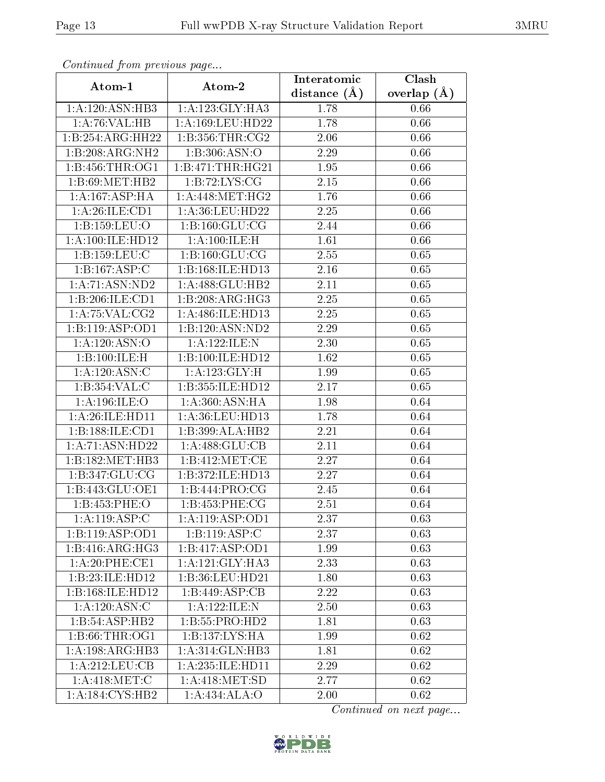| Continuea from previous page |                              | Interatomic       | $\overline{\text{Clash}}$ |
|------------------------------|------------------------------|-------------------|---------------------------|
| Atom-1                       | Atom-2                       | distance $(A)$    | overlap $(A)$             |
| 1: A:120: ASN:HB3            | 1:A:123:GLY:HA3              | 1.78              | 0.66                      |
| 1:A:76:VAL:HB                | 1:A:169:LEU:HD22             | 1.78              | 0.66                      |
| 1:B:254:ARG:HH22             | 1:B:356:THR:CG2              | 2.06              | 0.66                      |
| 1:B:208:ARG:NH2              | 1:B:306:ASN:O                | 2.29              | 0.66                      |
| 1:B:456:THR:OG1              | 1:B:471:THR:HG21             | 1.95              | 0.66                      |
| 1:B:69:MET:HB2               | 1:B:72:LYS:CG                | 2.15              | 0.66                      |
| 1:A:167:ASP:HA               | $1:A:448:MET:\overline{HG2}$ | 1.76              | 0.66                      |
| 1: A:26: ILE: CD1            | 1: A:36: LEU:HD22            | 2.25              | 0.66                      |
| 1:B:159:LEU:O                | 1: B: 160: GLU: CG           | 2.44              | 0.66                      |
| 1: A:100: ILE: HD12          | 1:A:100:ILE:H                | 1.61              | 0.66                      |
| 1:B:159:LEU:C                | 1:B:160:GLU:CG               | 2.55              | 0.65                      |
| 1:B:167:ASP:C                | 1:B:168:ILE:HD13             | 2.16              | 0.65                      |
| 1: A:71: ASN:ND2             | 1:A:488:GLU:HB2              | 2.11              | 0.65                      |
| 1:B:206:ILE:CD1              | 1:B:208:ARG:HG3              | 2.25              | 0.65                      |
| 1:A:75:VAL:CG2               | 1:A:486:ILE:HD13             | 2.25              | 0.65                      |
| 1:B:119:ASP:OD1              | 1:B:120:ASN:ND2              | 2.29              | 0.65                      |
| 1:A:120:ASN:O                | 1:A:122:ILE:N                | <b>2.30</b>       | 0.65                      |
| 1:B:100:ILE:H                | 1:B:100:ILE:HD12             | 1.62              | 0.65                      |
| 1: A:120: ASN: C             | 1:A:123:GLY:H                | 1.99              | 0.65                      |
| 1: B:354:VAL: C              | 1:B:355:ILE:HD12             | 2.17              | 0.65                      |
| 1:A:196:ILE:O                | 1:A:360:ASN:HA               | 1.98              | 0.64                      |
| 1: A:26: ILE: HD11           | 1:A:36:LEU:HD13              | 1.78              | 0.64                      |
| 1:B:188:ILE:CD1              | 1:B:399:ALA:HB2              | 2.21              | 0.64                      |
| 1: A:71: ASN: HD22           | 1: A:488: GLU:CB             | 2.11              | 0.64                      |
| 1:B:182:MET:HB3              | 1:B:412:MET:CE               | 2.27              | 0.64                      |
| 1: B: 347: GLU: CG           | 1:B:372:ILE:HD13             | $\overline{2}.27$ | 0.64                      |
| 1:B:443:GLU:OE1              | 1:B:444:PRO:CG               | 2.45              | 0.64                      |
| 1:B:453:PHE:O                | 1:B:453:PHE:CG               | 2.51              | 0.64                      |
| 1:A:119:ASP:C                | 1: A:119: ASP:OD1            | 2.37              | 0.63                      |
| 1:B:119:ASP:OD1              | 1:B:119:ASP:C                | 2.37              | 0.63                      |
| 1:B:416:ARG:HG3              | 1: B: 417: ASP: OD1          | 1.99              | 0.63                      |
| 1: A:20: PHE:CE1             | 1: A:121: GLY:HA3            | 2.33              | 0.63                      |
| 1:B:23:ILE:HD12              | $1:B:36:LEU:HD\overline{21}$ | 1.80              | 0.63                      |
| 1:B:168:ILE:HD12             | 1:B:449:ASP:CB               | 2.22              | 0.63                      |
| 1:A:120:ASN:C                | 1:A:122:ILE:N                | 2.50              | 0.63                      |
| $1:B:54: \overline{ASP:H}B2$ | 1:B:55:PRO:HD2               | 1.81              | 0.63                      |
| 1: B:66:THR:OG1              | 1:B:137:LYS:HA               | 1.99              | 0.62                      |
| 1:A:198:ARG:HB3              | 1: A:314: GLN:HB3            | 1.81              | 0.62                      |
| 1: A:212: LEU: CB            | 1:A:235:ILE:HD11             | 2.29              | 0.62                      |
| 1: A:418: MET:C              | 1:A:418:MET:SD               | 2.77              | 0.62                      |
| 1:A:184:CYS:HB2              | 1:A:434:ALA:O                | 2.00              | 0.62                      |

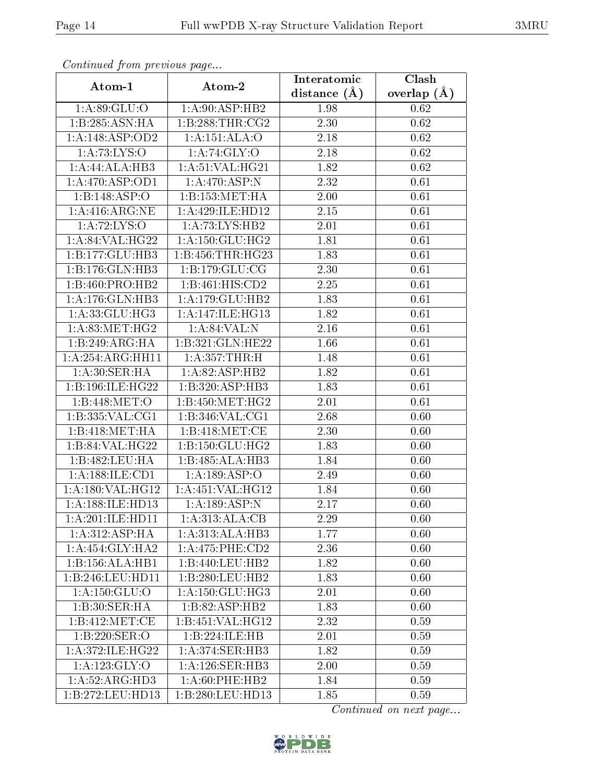| Comunaca jiom previous page |                                     | Interatomic    | Clash         |
|-----------------------------|-------------------------------------|----------------|---------------|
| Atom-1                      | Atom-2                              | distance $(A)$ | overlap $(A)$ |
| 1:A:89:GLU:O                | 1: A:90: ASP:HB2                    | 1.98           | 0.62          |
| 1:B:285:ASN:HA              | 1: B:288:THR:CG2                    | 2.30           | 0.62          |
| 1:A:148:ASP:OD2             | 1:A:151:ALA:O                       | 2.18           | 0.62          |
| 1: A:73: LYS:O              | 1: A:74: GLY:O                      | 2.18           | 0.62          |
| 1:A:44:ALA:HB3              | 1: A:51: VAL:HG21                   | 1.82           | 0.62          |
| 1:A:470:ASP:OD1             | 1:A:470:ASP:N                       | 2.32           | 0.61          |
| 1:B:148:ASP:O               | 1:B:153:MET:HA                      | 2.00           | 0.61          |
| 1: A:416: ARG: NE           | 1:A:429:ILE:HD12                    | 2.15           | 0.61          |
| 1: A:72: LYS:O              | 1:A:73:LYS:HB2                      | 2.01           | 0.61          |
| 1:A:84:VAL:HG22             | 1: A: 150: GLU: HG2                 | 1.81           | 0.61          |
| 1:B:177:GLU:HB3             | 1: B: 456: THR: HG23                | 1.83           | 0.61          |
| 1:B:176:GLN:HB3             | 1:B:179:GLU:CG                      | 2.30           | 0.61          |
| 1:B:460:PRO:HB2             | 1:B:461:HIS:CD2                     | 2.25           | 0.61          |
| 1: A:176: GLN:HB3           | 1:A:179:GLU:HB2                     | 1.83           | 0.61          |
| 1: A:33: GLU: HG3           | 1:A:147:ILE:HG13                    | 1.82           | 0.61          |
| 1: A:83:MET:HG2             | 1: A:84:VAL: N                      | 2.16           | 0.61          |
| 1:B:249:ARG:HA              | 1:B:321:GLN:HE22                    | 1.66           | 0.61          |
| 1:A:254:ARG:HH11            | 1: A: 357: THR:H                    | 1.48           | 0.61          |
| 1: A:30: SER: HA            | 1:A:82:ASP:HB2                      | 1.82           | 0.61          |
| 1:B:196:ILE:HG22            | 1:B:320:ASP:HB3                     | 1.83           | 0.61          |
| 1:B:448:MET:O               | 1: B:450:MET:HG2                    | 2.01           | 0.61          |
| 1:B:335:VAL:CG1             | 1: B: 346: VAL: CG1                 | 2.68           | 0.60          |
| 1:B:418:MET:HA              | 1:B:418:MET:CE                      | 2.30           | 0.60          |
| 1:B:84:VAL:HG22             | 1: B: 150: GLU: HG2                 | 1.83           | 0.60          |
| 1:B:482:LEU:HA              | 1:B:485:ALA:HB3                     | 1.84           | 0.60          |
| 1: A: 188: ILE: CD1         | 1:A:189:ASP:O                       | 2.49           | 0.60          |
| 1:A:180:VAL:HG12            | 1:A:451:VAL:HG12                    | 1.84           | 0.60          |
| 1:A:188:ILE:HD13            | $1:A:189: \overline{\text{ASP:N}}$  | 2.17           | 0.60          |
| 1:A:201:ILE:HD11            | 1:A:313:ALA:CB                      | 2.29           | 0.60          |
| 1: A:312: ASP:HA            | 1:A:313:ALA:HB3                     | 1.77           | 0.60          |
| 1:A:454:GLY:HA2             | 1:A:475:PHE:CD2                     | 2.36           | 0.60          |
| 1:B:156:ALA:HB1             | 1:B:440:LEU:HB2                     | 1.82           | 0.60          |
| 1:B:246:LEU:HD11            | 1:B:280:LEU:HB2                     | 1.83           | 0.60          |
| 1:A:150:GLU:O               | 1:A:150:GLU:HG3                     | 2.01           | 0.60          |
| 1:B:30:SER:HA               | 1:B:82:ASP:HB2                      | 1.83           | 0.60          |
| 1:B:412:MET:CE              | 1:B:451:VAL:HG12                    | 2.32           | 0.59          |
| 1:B:220:SER:O               | 1:B:224:ILE:HB                      | 2.01           | 0.59          |
| 1: A:372: ILE: HG22         | $1:A:374:\overline{\text{SER:HB3}}$ | 1.82           | 0.59          |
| 1: A: 123: GLY: O           | 1: A:126: SER:HB3                   | 2.00           | 0.59          |
| 1: A:52: ARG:HD3            | 1: A:60: PHE:HB2                    | 1.84           | 0.59          |
| 1:B:272:LEU:HD13            | 1:B:280:LEU:HD13                    | 1.85           | 0.59          |

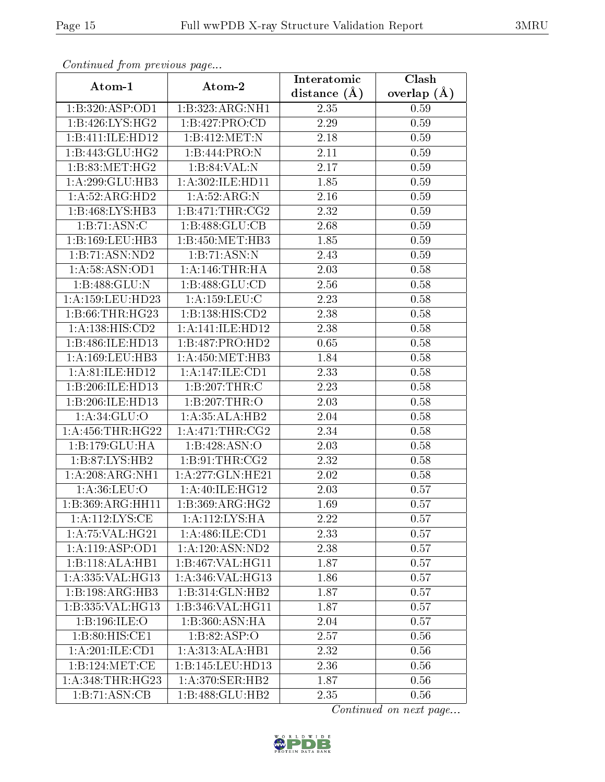| Continuea from previous page |                              | Interatomic    | Clash         |
|------------------------------|------------------------------|----------------|---------------|
| Atom-1                       | Atom-2                       | distance $(A)$ | overlap $(A)$ |
| 1:B:320:ASP:OD1              | 1:B:323:ARG:NH1              | 2.35           | 0.59          |
| 1:B:426:LYS:HG2              | 1:B:427:PRO:CD               | 2.29           | 0.59          |
| 1:B:411:ILE:HD12             | 1:B:412:MET:N                | 2.18           | 0.59          |
| 1:B:443:GLU:HG2              | 1:B:444:PRO:N                | 2.11           | 0.59          |
| 1: B:83:MET:HG2              | 1:B:84:VAL:N                 | 2.17           | 0.59          |
| $1:A:299:GLU:H\overline{B3}$ | 1:A:302:ILE:HD11             | 1.85           | 0.59          |
| 1: A:52: ARG:HD2             | 1: A:52: ARG: N              | 2.16           | 0.59          |
| 1:B:468:LYS:HB3              | 1: B:471:THR:CG2             | 2.32           | 0.59          |
| 1:B:71:ASN:C                 | 1:B:488:GLU:CB               | 2.68           | 0.59          |
| 1:B:169:LEU:HB3              | 1:B:450:MET:HB3              | 1.85           | 0.59          |
| 1:B:71:ASN:ND2               | 1:B:71:ASN:N                 | 2.43           | 0.59          |
| 1:A:58:ASN:OD1               | 1: A:146:THR:HA              | 2.03           | 0.58          |
| 1:B:488:GLU:N                | 1:B:488:GLU:CD               | 2.56           | 0.58          |
| 1: A: 159: LEU: HD23         | 1: A: 159: LEU: C            | 2.23           | 0.58          |
| 1: B:66:THR:HG23             | 1:B:138:HIS:CD2              | 2.38           | 0.58          |
| 1: A: 138: HIS: CD2          | 1:A:141:ILE:HD12             | 2.38           | 0.58          |
| 1:B:486:ILE:HD13             | 1:B:487:PRO:HD2              | 0.65           | 0.58          |
| 1:A:169:LEU:HB3              | 1: A:450:MET:HB3             | 1.84           | 0.58          |
| 1:A:81:ILE:HD12              | 1:A:147:ILE:CD1              | 2.33           | 0.58          |
| 1:B:206:ILE:HD13             | 1:B:207:THR:C                | 2.23           | 0.58          |
| 1:B:206:ILE:HD13             | 1:B:207:THR:O                | 2.03           | 0.58          |
| 1: A:34: GLU:O               | 1:A:35:ALA:HB2               | 2.04           | 0.58          |
| 1:A:456:THR:HG22             | 1: A:471:THR:CG2             | 2.34           | 0.58          |
| 1:B:179:GLU:HA               | 1:B:428:ASN:O                | 2.03           | 0.58          |
| 1:B:87:LYS:HB2               | 1:B:91:THR:CG2               | 2.32           | 0.58          |
| 1:A:208:ARG:NH1              | 1:A:277:GLN:HE21             | 2.02           | 0.58          |
| 1: A:36:LEU:O                | 1:A:40:ILE:HG12              | 2.03           | 0.57          |
| 1:B:369:ARG:HH11             | 1: B: 369: ARG: HG2          | 1.69           | 0.57          |
| 1:A:112:LYS:CE               | 1:A:112:LYS:HA               | 2.22           | 0.57          |
| 1:A:75:VAL:HG21              | $1: A:486: ILE:$ CD1         | 2.33           | 0.57          |
| 1:A:119:ASP:OD1              | 1:A:120:ASN:ND2              | 2.38           | 0.57          |
| 1:B:118:ALA:HB1              | 1:B:467:VAL:HG11             | 1.87           | 0.57          |
| 1:A:335: VAL: HG13           | 1:A:346:VAL:HG13             | 1.86           | 0.57          |
| 1:B:198:ARG:HB3              | 1:B:314:GLN:HB2              | 1.87           | 0.57          |
| 1:B:335:VAL:HG13             | 1:B:346:VAL:HG11             | 1.87           | 0.57          |
| 1:B:196:ILE:O                | 1:B:360:ASN:HA               | 2.04           | 0.57          |
| 1:B:80:HIS:CE1               | 1: B:82: ASP:O               | 2.57           | 0.56          |
| 1:A:201:ILE:CD1              | 1:A:313:ALA:HB1              | 2.32           | 0.56          |
| 1: B: 124: MET:CE            | 1:B:145:LEU:HD13             | 2.36           | 0.56          |
| 1: A:348:THR:HG23            | 1: A:370: SER: HB2           | 1.87           | 0.56          |
| 1:B:71:ASN:CB                | $1:B:488:GL\overline{U:HB2}$ | 2.35           | 0.56          |

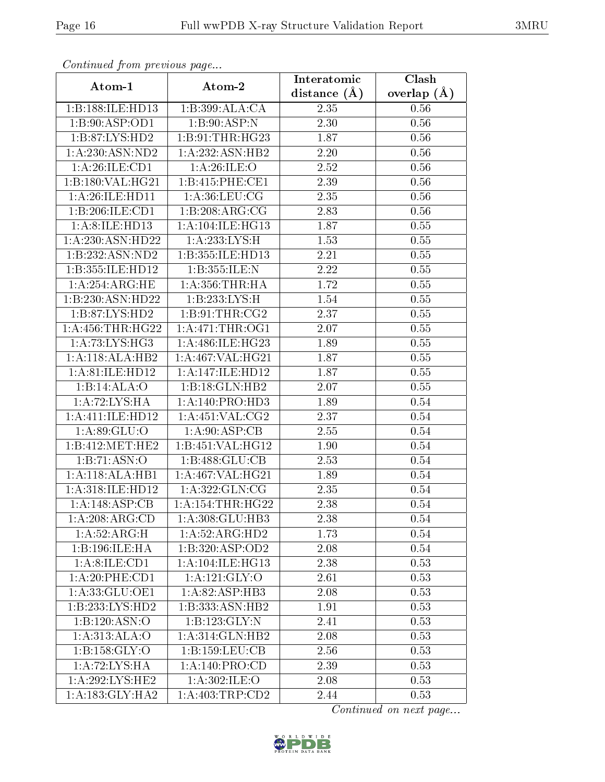| Commaca jibin previous page |                    | Interatomic    | Clash         |
|-----------------------------|--------------------|----------------|---------------|
| Atom-1                      | Atom-2             | distance $(A)$ | overlap $(A)$ |
| 1:B:188:ILE:HD13            | 1:B:399:ALA:CA     | 2.35           | 0.56          |
| 1:B:90:ASP:OD1              | 1: B:90:ASP:N      | 2.30           | 0.56          |
| 1:B:87:LYS:HD2              | 1:B:91:THR:HG23    | 1.87           | 0.56          |
| 1: A:230:ASN:ND2            | 1:A:232:ASN:HB2    | 2.20           | 0.56          |
| 1:A:26:ILE:CD1              | 1: A:26: ILE: O    | 2.52           | 0.56          |
| 1:B:180:VAL:HG21            | 1:B:415:PHE:CE1    | 2.39           | 0.56          |
| 1: A:26: ILE: HD11          | 1: A:36: LEU: CG   | 2.35           | 0.56          |
| 1:B:206:ILE:CD1             | 1:B:208:ARG:CG     | 2.83           | 0.56          |
| 1: A:8: ILE: HD13           | 1:A:104:ILE:HG13   | 1.87           | 0.55          |
| 1:A:230:ASN:HD22            | 1:A:233:LYS:H      | 1.53           | 0.55          |
| 1:B:232:ASN:ND2             | 1:B:355:ILE:HD13   | 2.21           | 0.55          |
| 1:B:355:ILE:HD12            | 1:B:355:ILE:N      | 2.22           | 0.55          |
| 1: A:254:ARG:HE             | 1: A: 356: THR: HA | 1.72           | 0.55          |
| 1:B:230:ASN:HD22            | 1:B:233:LYS:H      | 1.54           | 0.55          |
| 1:B:87:LYS:HD2              | 1:B:91:THR:CG2     | 2.37           | 0.55          |
| 1: A: 456: THR: HG22        | 1: A:471:THR:OG1   | 2.07           | 0.55          |
| 1:A:73:LYS:HG3              | 1:A:486:ILE:HG23   | 1.89           | 0.55          |
| 1:A:118:ALA:HB2             | 1:A:467:VAL:HG21   | 1.87           | 0.55          |
| 1:A:81:ILE:HD12             | 1:A:147:ILE:HD12   | 1.87           | 0.55          |
| 1:B:14:ALA:O                | 1:B:18:GLN:HB2     | 2.07           | 0.55          |
| 1: A:72: LYS:H A            | 1:A:140:PRO:HD3    | 1.89           | 0.54          |
| 1:A:411:ILE:HD12            | 1: A:451: VAL: CG2 | 2.37           | 0.54          |
| 1:A:89:GLU:O                | 1: A:90: ASP:CB    | 2.55           | 0.54          |
| 1:B:412:MET:HE2             | 1:B:451:VAL:HG12   | 1.90           | 0.54          |
| 1:B:71:ASN:O                | 1:B:488:GLU:CB     | 2.53           | 0.54          |
| 1:A:118:ALA:HB1             | 1:A:467:VAL:HG21   | 1.89           | 0.54          |
| 1:A:318:ILE:HD12            | 1:A:322:GLN:CG     | 2.35           | 0.54          |
| 1:A:148:ASP:CB              | 1: A:154:THR:HG22  | 2.38           | 0.54          |
| 1: A:208: ARG:CD            | 1:A:308:GLU:HB3    | 2.38           | 0.54          |
| 1:A:52:ARG:H                | 1:A:52:ARG:HD2     | 1.73           | 0.54          |
| 1:B:196:ILE:HA              | 1:B:320:ASP:OD2    | 2.08           | 0.54          |
| 1: A:8: ILE: CD1            | 1:A:104:ILE:HG13   | 2.38           | 0.53          |
| 1:A:20:PHE:CD1              | 1:A:121:GLY:O      | 2.61           | 0.53          |
| 1:A:33:GLU:OE1              | 1:A:82:ASP:HB3     | 2.08           | 0.53          |
| 1:B:233:LYS:HD2             | 1:B:333:ASN:HB2    | 1.91           | 0.53          |
| 1: B: 120: ASN:O            | 1:B:123:GLY:N      | 2.41           | 0.53          |
| 1:A:313:ALA:O               | 1:A:314:GLN:HB2    | 2.08           | 0.53          |
| 1: B: 158: GLY:O            | 1:B:159:LEU:CB     | 2.56           | 0.53          |
| 1:A:72:LYS:HA               | 1: A:140: PRO:CD   | 2.39           | 0.53          |
| 1:A:292:LYS:HE2             | 1:A:302:ILE:O      | 2.08           | 0.53          |
| 1:A:183:GLY:HA2             | 1:A:403:TRP:CD2    | 2.44           | 0.53          |

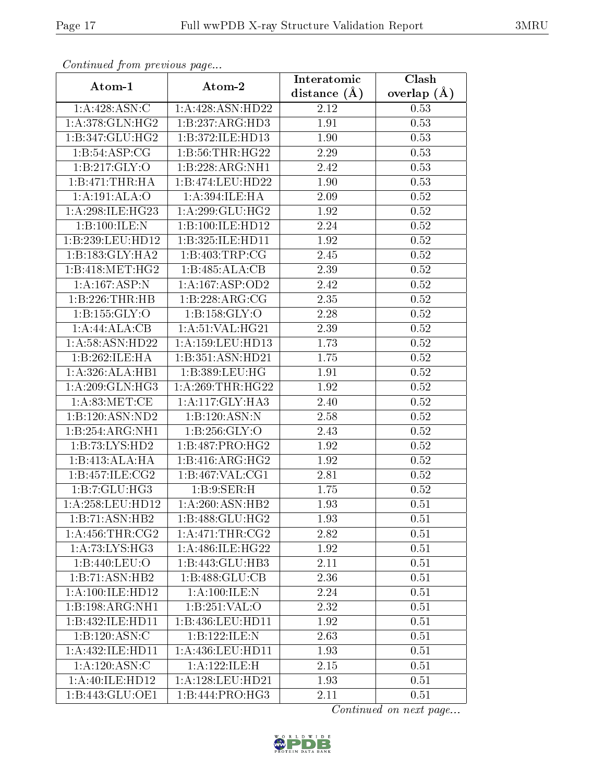| Commuca from previous page   |                     | Interatomic       | Clash         |
|------------------------------|---------------------|-------------------|---------------|
| Atom-1                       | Atom-2              | distance $(A)$    | overlap $(A)$ |
| 1:A:428:ASN:C                | 1:A:428:ASN:HD22    | 2.12              | 0.53          |
| 1: A:378: GLN: HG2           | 1:B:237:ARG:HD3     | 1.91              | 0.53          |
| 1:B:347:GLU:HG2              | 1:B:372:ILE:HD13    | 1.90              | 0.53          |
| 1:B:54:ASP:CG                | 1:B:56:THR:HG22     | 2.29              | 0.53          |
| 1: B:217: GLY:O              | 1:B:228:ARG:NH1     | 2.42              | 0.53          |
| 1:B:471:THR:HA               | 1:B:474:LEU:HD22    | 1.90              | 0.53          |
| 1:A:191:ALA:O                | 1:A:394:ILE:HA      | 2.09              | 0.52          |
| 1: A:298: ILE: HG23          | 1: A:299: GLU:HG2   | 1.92              | 0.52          |
| 1:B:100:ILE:N                | 1:B:100:ILE:HD12    | 2.24              | 0.52          |
| 1:B:239:LEU:HD12             | 1:B:325:ILE:HD11    | 1.92              | 0.52          |
| 1:B:183:GLY:HA2              | 1:B:403:TRP:CG      | 2.45              | 0.52          |
| 1:B:418:MET:HG2              | 1:B:485:ALA:CB      | 2.39              | $0.52\,$      |
| $1:A:167:A\overline{SP:N}$   | 1:A:167:ASP:OD2     | 2.42              | 0.52          |
| 1:B:226:THR:HB               | 1:B:228:ARG:CG      | 2.35              | 0.52          |
| 1: B: 155: GLY: O            | 1: B: 158: GLY: O   | 2.28              | 0.52          |
| 1:A:44:ALA:CB                | 1: A:51:VAL:HG21    | 2.39              | 0.52          |
| 1: A:58: ASN: HD22           | 1:A:159:LEU:HD13    | 1.73              | $0.52\,$      |
| 1:B:262:ILE:HA               | 1:B:351:ASN:HD21    | 1.75              | 0.52          |
| 1:A:326:ALA:HB1              | 1:B:389:LEU:HG      | 1.91              | 0.52          |
| 1: A:209: GLN: HG3           | 1: A:269:THR:HG22   | 1.92              | 0.52          |
| 1: A:83:MET:CE               | 1:A:117:GLY:HA3     | $\overline{2}.40$ | 0.52          |
| 1:B:120:ASN:ND2              | 1:B:120:ASN:N       | 2.58              | 0.52          |
| $1:B:254:ARG:\overline{NH1}$ | 1: B: 256: GLY: O   | 2.43              | 0.52          |
| 1:B:73:LYS:HD2               | 1:B:487:PRO:HG2     | 1.92              | 0.52          |
| 1:B:413:ALA:HA               | 1:B:416:ARG:HG2     | 1.92              | 0.52          |
| 1:B:457:ILE:CG2              | 1: B: 467: VAL: CG1 | 2.81              | 0.52          |
| 1:B:7:GLU:HG3                | 1:B:9:SER:H         | 1.75              | 0.52          |
| 1: A:258:LEU:HD12            | 1:A:260:ASN:HB2     | 1.93              | 0.51          |
| 1:B:71:ASN:HB2               | 1:B:488:GLU:HG2     | 1.93              | 0.51          |
| 1: A: 456: THR: CG2          | 1:A:471:THR:CG2     | 2.82              | 0.51          |
| $1:\overline{A:73:LYS:HG3}$  | 1:A:486:ILE:HG22    | 1.92              | 0.51          |
| 1:B:440:LEU:O                | 1:B:443:GLU:HB3     | 2.11              | 0.51          |
| 1:B:71:ASN:HB2               | 1:B:488:GLU:CB      | 2.36              | 0.51          |
| 1: A:100: ILE: HD12          | 1:A:100:ILE:N       | 2.24              | 0.51          |
| 1:B:198:ARG:NH1              | 1:B:251:VAL:O       | 2.32              | 0.51          |
| 1:B:432:ILE:HD11             | 1:B:436:LEU:HD11    | 1.92              | 0.51          |
| 1:B:120:ASN:C                | 1:B:122:ILE:N       | 2.63              | 0.51          |
| 1:A:432:ILE:HD11             | 1:A:436:LEU:HD11    | 1.93              | 0.51          |
| 1: A:120: ASN: C             | 1:A:122:ILE:H       | 2.15              | 0.51          |
| 1:A:40:ILE:HD12              | 1:A:128:LEU:HD21    | 1.93              | 0.51          |
| 1:B:443:GLU:OE1              | 1:B:444:PRO:HG3     | 2.11              | 0.51          |

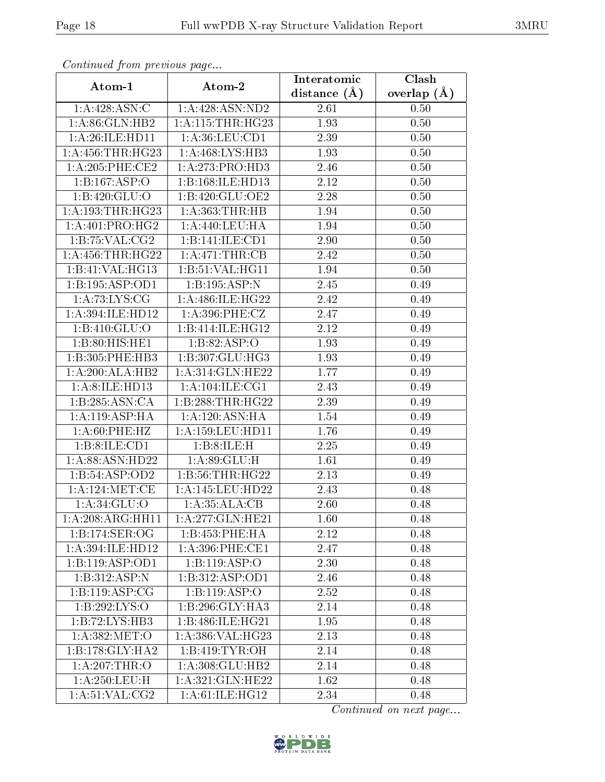| сонинией јтот ртеvиоиз раде       |                                      | Interatomic    | Clash         |
|-----------------------------------|--------------------------------------|----------------|---------------|
| Atom-1                            | Atom-2                               | distance $(A)$ | overlap $(A)$ |
| 1:A:428:ASN:C                     | 1:A:428:ASN:ND2                      | 2.61           | 0.50          |
| 1:A:86:GLN:HB2                    | 1:A:115:THR:HG23                     | 1.93           | 0.50          |
| 1: A:26: ILE: HD11                | 1: A:36:LEU:CD1                      | 2.39           | 0.50          |
| 1:A:456:THR:HG23                  | 1:A:468:LYS:HB3                      | 1.93           | 0.50          |
| 1: A:205:PHE:CE2                  | 1:A:273:PRO:HD3                      | 2.46           | 0.50          |
| 1:B:167:ASP:O                     | 1:B:168:ILE:HD13                     | 2.12           | 0.50          |
| 1:B:420:GLU:O                     | 1:B:420:GLU:OE2                      | 2.28           | 0.50          |
| 1: A: 193: THR: HG23              | 1: A: 363: THR: HB                   | 1.94           | 0.50          |
| $1:A:401:P\overline{RO:HG2}$      | 1:A:440:LEU:HA                       | 1.94           | 0.50          |
| 1: B: 75: VAL: CG2                | 1:B:141:ILE:CD1                      | 2.90           | 0.50          |
| 1: A: 456: THR: HG22              | 1: A:471:THR:CB                      | 2.42           | 0.50          |
| 1:B:41:VAL:HG13                   | 1:B:51:VAL:H <sub>G11</sub>          | 1.94           | 0.50          |
| 1:B:195:ASP:OD1                   | 1:B:195:ASP:N                        | 2.45           | 0.49          |
| $1:A:73:\overline{\text{LYS:CG}}$ | 1: A:486: ILE: HG22                  | 2.42           | 0.49          |
| 1:A:394:ILE:HD12                  | $1: A:396:$ PHE:CZ                   | 2.47           | 0.49          |
| 1:B:410:GLU:O                     | 1:B:414:ILE:HG12                     | 2.12           | 0.49          |
| 1:B:80:HIS:HE1                    | 1:B:82:ASP:O                         | 1.93           | 0.49          |
| 1:B:305:PHE:HB3                   | 1: B: 307: GLU: HG3                  | 1.93           | 0.49          |
| 1:A:200:ALA:HB2                   | 1:A:314:GLN:HE22                     | 1.77           | 0.49          |
| 1: A:8: ILE: HD13                 | 1: A: 104: ILE: CG1                  | 2.43           | 0.49          |
| 1:B:285:ASN:CA                    | 1:B:288:THR:HG22                     | 2.39           | 0.49          |
| 1: A:119: ASP:HA                  | 1: A: 120: ASN: HA                   | 1.54           | 0.49          |
| 1: A:60:PHE:HZ                    | $1:\overline{A}:159:\text{LEU}:HD11$ | 1.76           | 0.49          |
| 1:B:8:ILE:CD1                     | 1:B:8:ILE:H                          | 2.25           | 0.49          |
| 1:A:88:ASN:HD22                   | 1: A:89: GLU: H                      | 1.61           | 0.49          |
| 1:B:54:ASP:OD2                    | 1:B:56:THR:HG22                      | 2.13           | 0.49          |
| 1: A:124: MET:CE                  | 1:A:145:LEU:HD22                     | 2.43           | 0.48          |
| 1:A:34:GLU:O                      | 1:A:35:ALA:CB                        | 2.60           | 0.48          |
| 1:A:208:ARG:HH11                  | 1:A:277:GLN:HE21                     | 1.60           | 0.48          |
| 1:B:174:SER:OG                    | 1:B:453:PHE:HA                       | 2.12           | 0.48          |
| 1:A:394:ILE:HD12                  | 1: A:396: PHE:CE1                    | 2.47           | 0.48          |
| 1:B:119:ASP:OD1                   | 1:B:119:ASP:O                        | 2.30           | 0.48          |
| 1:B:312:ASP:N                     | 1:B:312:ASP:OD1                      | 2.46           | 0.48          |
| 1:B:119:ASP:CG                    | 1:B:119:ABP:O                        | 2.52           | 0.48          |
| 1:B:292:LYS:O                     | 1:B:296:GLY:HA3                      | 2.14           | 0.48          |
| 1:B:72:LYS:HB3                    | 1:B:486:ILE:HG21                     | 1.95           | 0.48          |
| 1: A:382:MET:O                    | 1:A:386:VAL:HG23                     | 2.13           | 0.48          |
| 1:B:178:GLY:HA2                   | 1:B:419:TYR:OH                       | 2.14           | 0.48          |
| 1: A:207:THR:O                    | 1: A:308: GLU:HB2                    | 2.14           | 0.48          |
| 1: A:250:LEU:H                    | 1:A:321:GLN:HE22                     | 1.62           | 0.48          |
| 1: A:51: VAL: CG2                 | 1:A:61:ILE:HG12                      | 2.34           | 0.48          |

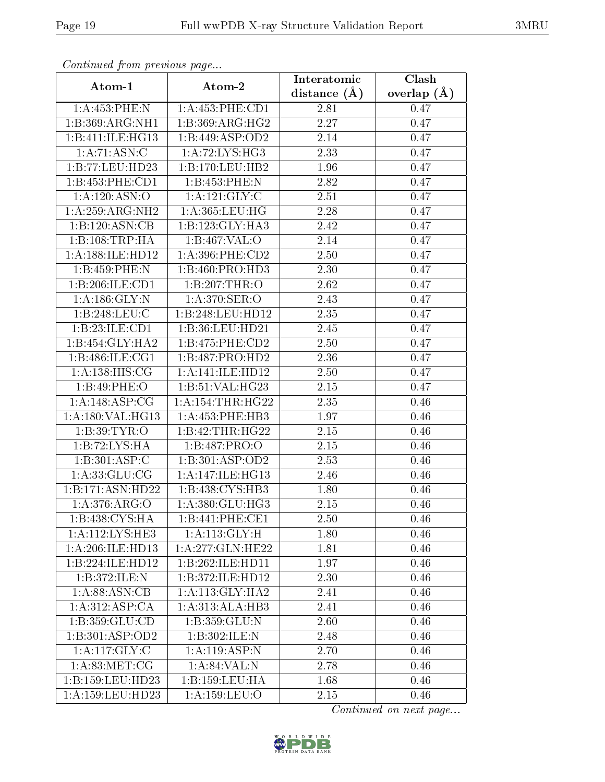| Continuea from previous page |                                      | Interatomic       | Clash         |
|------------------------------|--------------------------------------|-------------------|---------------|
| Atom-1                       | Atom-2                               | distance $(A)$    | overlap $(A)$ |
| 1:A:453:PHE:N                | 1: A: 453: PHE: CD1                  | 2.81              | 0.47          |
| 1:B:369:ARG:NH1              | 1:B:369:ARG:HG2                      | $\overline{2.27}$ | 0.47          |
| 1:B:411:ILE:HG13             | 1:B:449:ASP:OD2                      | 2.14              | 0.47          |
| 1: A:71: ASN: C              | 1: A:72: LYS: HG3                    | 2.33              | 0.47          |
| 1:B:77:LEU:HD23              | 1:B:170:LEU:HB2                      | 1.96              | 0.47          |
| 1:B:453:PHE:CD1              | 1:B:453:PHE:N                        | 2.82              | 0.47          |
| 1: A: 120: ASN: O            | 1:A:121:GLY:C                        | 2.51              | 0.47          |
| 1:A:259:ARG:NH2              | 1:A:365:LEU:HG                       | 2.28              | 0.47          |
| 1:B:120:ASN:CB               | 1:B:123:GLY:HA3                      | 2.42              | 0.47          |
| 1:B:108:TRP:HA               | 1:B:467:VAL:O                        | 2.14              | 0.47          |
| 1:A:188:ILE:HD12             | $1: A:396:$ PHE: $CD2$               | 2.50              | 0.47          |
| 1:B:459:PHE:N                | 1:B:460:PRO:HD3                      | 2.30              | 0.47          |
| 1:B:206:ILE:CD1              | 1:B:207:THR:O                        | 2.62              | 0.47          |
| 1: A: 186: GLY: N            | 1: A:370: SER:O                      | 2.43              | 0.47          |
| 1:B:248:LEU:C                | 1:B:248:LEU:HD12                     | 2.35              | 0.47          |
| 1:B:23:ILE:CD1               | 1:B:36:LEU:HD21                      | 2.45              | 0.47          |
| 1:B:454:GLY:HA2              | 1:B:475:PHE:CD2                      | 2.50              | 0.47          |
| 1:B:486:ILE:CG1              | 1:B:487:PRO:HD2                      | 2.36              | 0.47          |
| $1:A:\overline{138:HIS:CG}$  | 1:A:141:ILE:HD12                     | 2.50              | 0.47          |
| 1:B:49:PHE:O                 | 1: B:51: VAL:HG23                    | 2.15              | 0.47          |
| 1:A:148:ASP:CG               | 1: A: 154: THR: HG22                 | 2.35              | 0.46          |
| 1:A:180:VAL:HG13             | 1:A:453:PHE:HB3                      | 1.97              | 0.46          |
| 1: B: 39: TYR: O             | 1:B:42:THR:HG22                      | 2.15              | 0.46          |
| 1:B:72:LYS:HA                | 1:B:487:PRO:O                        | 2.15              | 0.46          |
| 1:B:301:ASP:C                | 1:B:301:ASP:OD2                      | 2.53              | 0.46          |
| 1: A: 33: GLU: CG            | $1:A:\overline{147:ILE:HG13}$        | 2.46              | 0.46          |
| 1:B:171:ASN:HD22             | 1:B:438:CYS:HB3                      | 1.80              | 0.46          |
| 1:A:376:ARG:O                | 1:A:380:GLU:HG3                      | 2.15              | 0.46          |
| 1:B:438:CYS:HA               | 1:B:441:PHE:CE1                      | 2.50              | 0.46          |
| 1: A:112:LYS:HE3             | 1: A:113: GLY: H                     | 1.80              | 0.46          |
| 1:A:206:ILE:HD13             | 1: A:277: GLN: HE22                  | 1.81              | 0.46          |
| 1:B:224:ILE:HD12             | 1:B:262:ILE:HD11                     | 1.97              | 0.46          |
| 1:B:372:ILE:N                | 1:B:372:ILE:HD12                     | 2.30              | 0.46          |
| 1: A:88: ASN:CB              | 1: A:113: GLY:HA2                    | 2.41              | 0.46          |
| 1:A:312:ASP:CA               | 1:A:313:ALA:HB3                      | 2.41              | 0.46          |
| 1:B:359:GLU:CD               | 1: B: 359: GLU: N                    | 2.60              | 0.46          |
| 1:B:301:ASP:OD2              | 1:B:302:ILE:N                        | 2.48              | 0.46          |
| 1: A: 117: GLY: C            | 1:A:119:ASP:N                        | 2.70              | 0.46          |
| 1: A:83:MET:CG               | 1: A:84:VAL: N                       | 2.78              | 0.46          |
| 1:B:159:LEU:HD23             | 1:B:159:LEU:HA                       | 1.68              | 0.46          |
| 1:A:159:LEU:HD23             | $1: A: 159: \overline{\text{LEU:O}}$ | 2.15              | 0.46          |

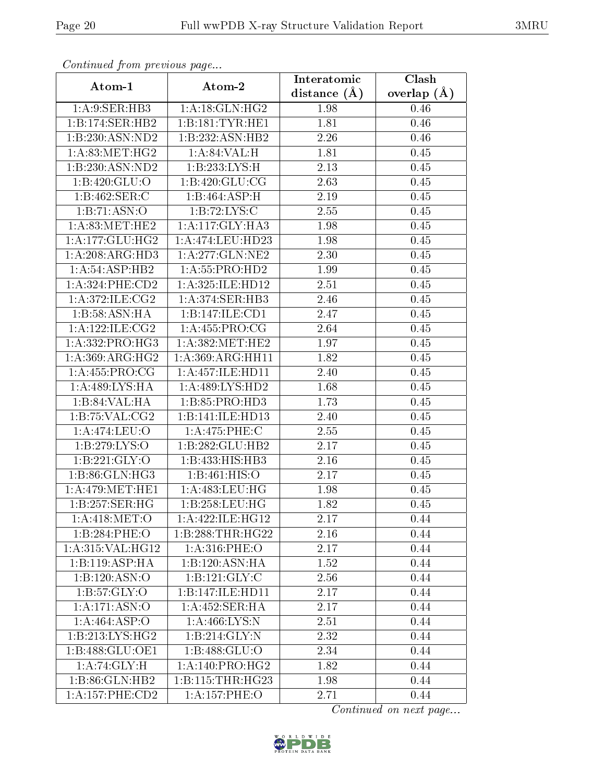| Commuca from previous page         |                      | Interatomic    | Clash           |  |
|------------------------------------|----------------------|----------------|-----------------|--|
| Atom-1                             | Atom-2               | distance $(A)$ | overlap $(\AA)$ |  |
| 1: A:9: SER: HB3                   | 1: A:18: GLN: HG2    | 1.98           | 0.46            |  |
| 1:B:174:SER:HB2                    | 1:B:181:TYR:HE1      | 1.81           | 0.46            |  |
| 1:B:230:ASN:ND2                    | 1:B:232:ASN:HB2      | 2.26           | 0.46            |  |
| 1: A:83:MET:HG2                    | 1: A:84:VAL:HI       | 1.81           | 0.45            |  |
| 1:B:230:ASN:ND2                    | 1: B: 233: LYS: H    | 2.13           | 0.45            |  |
| 1:B:420:GLU:O                      | 1:B:420:GLU:CG       | 2.63           | 0.45            |  |
| 1:B:462:SER:C                      | 1:B:464:ASP:H        | 2.19           | 0.45            |  |
| 1:B:71:ASN:O                       | 1: B: 72: LYS:C      | 2.55           | 0.45            |  |
| 1: A:83:MET:HE2                    | 1:A:117:GLY:HA3      | 1.98           | 0.45            |  |
| 1: A: 177: GLU: HG2                | 1:A:474:LEU:HD23     | 1.98           | 0.45            |  |
| 1: A:208:ARG:HD3                   | 1: A:277: GLN:NE2    | 2.30           | 0.45            |  |
| 1:A:54:ASP:HB2                     | 1:A:55:PRO:HD2       | 1.99           | 0.45            |  |
| 1: A:324: PHE:CD2                  | 1:A:325:ILE:HD12     | 2.51           | 0.45            |  |
| 1: A:372: ILE: CG2                 | 1:A:374:SER:HB3      | 2.46           | 0.45            |  |
| 1:B:58:ASN:HA                      | 1:B:147:ILE:CD1      | 2.47           | 0.45            |  |
| 1: A:122: ILE: CG2                 | 1: A: 455: PRO: CG   | 2.64           | 0.45            |  |
| 1: A: 332: PRO: HG3                | 1: A:382:MET:HE2     | 1.97           | 0.45            |  |
| 1: A:369:ARG:HG2                   | 1: A: 369: ARG: HH11 | 1.82           | 0.45            |  |
| $1:A:455:\overline{\text{PRO:CG}}$ | 1: A: 457: ILE: HD11 | 2.40           | 0.45            |  |
| 1:A:489:LYS:HA                     | 1: A:489: LYS: HD2   | 1.68           | 0.45            |  |
| 1:B:84:VAL:HA                      | 1:B:85:PRO:HD3       | 1.73           | 0.45            |  |
| 1:B:75:VAL:CG2                     | 1:B:141:ILE:HD13     | 2.40           | 0.45            |  |
| 1: A:474:LEU:O                     | 1:A:475:PHE:C        | 2.55           | 0.45            |  |
| 1:B:279:LYS:O                      | 1:B:282:GLU:HB2      | 2.17           | 0.45            |  |
| 1: B: 221: GLY:O                   | 1:B:433:HIS:HB3      | 2.16           | 0.45            |  |
| 1:B:86:GLN:HG3                     | 1:B:461:HIS:O        | 2.17           | 0.45            |  |
| 1: A:479:MET:HE1                   | 1:A:483:LEU:HG       | 1.98           | 0.45            |  |
| $1:B:257:\overline{\text{SER:HG}}$ | 1:B:258:LEU:HG       | 1.82           | 0.45            |  |
| 1: A:418: MET:O                    | 1:A:422:ILE:HG12     | 2.17           | 0.44            |  |
| 1:B:284:PHE:O                      | 1:B:288:THR:HG22     | 2.16           | 0.44            |  |
| 1:A:315:VAL:HG12                   | 1: A:316: PHE:O      | 2.17           | 0.44            |  |
| 1:B:119:ASP:HA                     | 1:B:120:ASN:HA       | 1.52           | 0.44            |  |
| 1:B:120:ASN:O                      | 1: B: 121: GLY: C    | 2.56           | 0.44            |  |
| 1: B: 57: GLY:O                    | 1:B:147:ILE:HD11     | 2.17           | 0.44            |  |
| 1:A:171:ASN:O                      | 1:A:452:SER:HA       | 2.17           | 0.44            |  |
| 1:A:464:ASP:O                      | 1:A:466:LYS:N        | 2.51           | 0.44            |  |
| 1:B:213:LYS:HG2                    | 1:B:214:GLY:N        | 2.32           | 0.44            |  |
| 1:B:488:GLU:OE1                    | 1:B:488:GLU:O        | 2.34           | 0.44            |  |
| 1: A:74: GLY: H                    | 1:A:140:PRO:HG2      | 1.82           | 0.44            |  |
| 1:B:86:GLN:HB2                     | 1: B:115: THR:HG23   | 1.98           | 0.44            |  |
| 1: A: 157: PHE: CD2                | 1:A:157:PHE:O        | 2.71           | 0.44            |  |

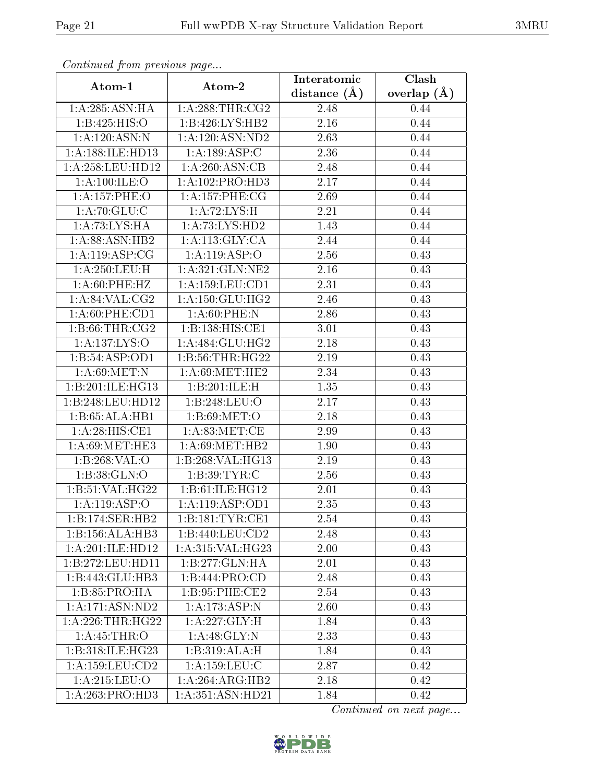| Continued from previous page  |                               | Interatomic    | $\overline{\text{Clash}}$ |
|-------------------------------|-------------------------------|----------------|---------------------------|
| Atom-1                        | Atom-2                        | distance $(A)$ | overlap $(A)$             |
| 1: A:285: ASN: HA             | 1: A:288:THR:CG2              | 2.48           | 0.44                      |
| 1:B:425:HIS:O                 | 1:B:426:LYS:HB2               | 2.16           | 0.44                      |
| 1:A:120:ASN:N                 | 1:A:120:ASN:ND2               | 2.63           | 0.44                      |
| 1:A:188:ILE:HD13              | 1:A:189:ASP:C                 | 2.36           | 0.44                      |
| 1: A:258:LEU:HD12             | 1:A:260:ASN:CB                | 2.48           | 0.44                      |
| 1:A:100:ILE:O                 | 1:A:102:PRO:HD3               | 2.17           | 0.44                      |
| 1: A: 157: PHE: O             | 1: A:157:PHE:CG               | 2.69           | 0.44                      |
| 1:A:70:GLU:C                  | 1: A:72: LYS:H                | 2.21           | 0.44                      |
| 1: A:73: LYS: HA              | 1:A:73:LYS:HD2                | 1.43           | 0.44                      |
| 1:A:88:ASN:HB2                | 1: A:113: GLY:CA              | 2.44           | 0.44                      |
| 1: A: 119: ASP: CG            | 1:A:119:ASP:O                 | 2.56           | 0.43                      |
| 1:A:250:LEU:H                 | 1: A:321: GLN: NE2            | 2.16           | 0.43                      |
| 1: A:60:PHE:HZ                | 1:A:159:LEU:CD1               | 2.31           | 0.43                      |
| 1: A:84:VAL:CG2               | 1:A:150:GLU:HG2               | 2.46           | 0.43                      |
| 1:A:60:PHE:CD1                | 1: A:60:PHE:N                 | 2.86           | 0.43                      |
| 1: B:66:THR:CG2               | 1:B:138:HIS:CE1               | 3.01           | 0.43                      |
| 1:A:137:LYS:O                 | 1:A:484:GLU:HG2               | 2.18           | 0.43                      |
| 1:B:54:ASP:OD1                | 1: B: 56: THR: HG22           | 2.19           | 0.43                      |
| 1: A:69:MET:N                 | 1: A:69:MET:HE2               | 2.34           | 0.43                      |
| 1:B:201:ILE:HG13              | 1:B:201:ILE:H                 | 1.35           | 0.43                      |
| 1:B:248:LEU:HD12              | 1:B:248:LEU:O                 | 2.17           | 0.43                      |
| 1:B:65:ALA:HB1                | 1: B:69:MET:O                 | 2.18           | 0.43                      |
| 1:A:28:HIS:CE1                | 1: A:83:MET:CE                | 2.99           | 0.43                      |
| 1: A:69:MET:HE3               | 1: A:69:MET:HB2               | 1.90           | 0.43                      |
| 1: B: 268: VAL:O              | 1:B:268:VAL:HG13              | 2.19           | 0.43                      |
| 1:B:38:GLN:O                  | 1: B:39: TYR: C               | 2.56           | 0.43                      |
| 1:B:51:VAL:HG22               | 1:B:61:ILE:HG12               | 2.01           | 0.43                      |
| $1:A:119.\overline{ASP:O}$    | 1: A:119: ASP:OD1             | 2.35           | 0.43                      |
| 1:B:174:SER:HB2               | 1:B:181:TYR:CE1               | 2.54           | 0.43                      |
| 1:B:156:ALA:HB3               | 1:B:440:LEU:CD2               | 2.48           | 0.43                      |
| 1:A:201:ILE:HD12              | 1: A:315: VAL:HG23            | 2.00           | 0.43                      |
| 1:B:272:LEU:HD11              | 1:B:277:GLN:HA                | 2.01           | 0.43                      |
| 1:B:443:GLU:HB3               | 1: B:444: PRO:CD              | 2.48           | 0.43                      |
| 1:B:85:PRO:HA                 | 1: B:95:PHE:CE2               | 2.54           | 0.43                      |
| 1: A:171: ASN:ND2             | 1:A:173:ASP:N                 | 2.60           | 0.43                      |
| 1: A:226:THR:HG22             | 1: A: 227: GLY: H             | 1.84           | 0.43                      |
| 1: A:45:THR:O                 | 1:A:48:GLY:N                  | 2.33           | 0.43                      |
| $1:B:318:ILE:\overline{HG23}$ | 1:B:319:ALA:H                 | 1.84           | 0.43                      |
| 1: A: 159: LEU: CD2           | 1: A: 159: LEU: C             | 2.87           | 0.42                      |
| 1:A:215:LEU:O                 | 1:A:264:ARG:HB2               | 2.18           | 0.42                      |
| 1:A:263:PRO:HD3               | $1:A:351:A\overline{SN:HD21}$ | 1.84           | 0.42                      |

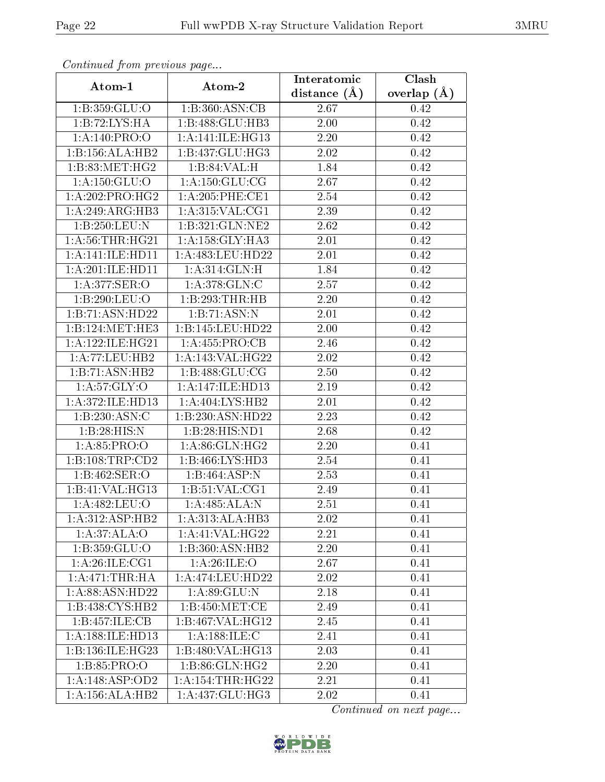| Continuea from previous page |                      | Interatomic    | Clash           |
|------------------------------|----------------------|----------------|-----------------|
| Atom-1                       | Atom-2               | distance $(A)$ | overlap $(\AA)$ |
| 1: B: 359: GLU: O            | 1:B:360:ASN:CB       | 2.67           | 0.42            |
| 1:B:72:LYS:HA                | 1:B:488:GLU:HB3      | 2.00           | 0.42            |
| 1: A:140: PRO:O              | 1: A:141: ILE: HG13  | 2.20           | 0.42            |
| 1:B:156:ALA:HB2              | 1:B:437:GLU:HG3      | 2.02           | 0.42            |
| 1: B:83:MET:HG2              | 1:B:84:VAL:H         | 1.84           | 0.42            |
| 1: A: 150: GLU:O             | 1: A: 150: GLU: CG   | 2.67           | 0.42            |
| 1: A:202:PRO:HG2             | 1: A:205:PHE:CE1     | 2.54           | 0.42            |
| 1:A:249:ARG:HB3              | 1: A:315: VAL:CG1    | 2.39           | 0.42            |
| 1:B:250:LEU:N                | 1:B:321:GLN:NE2      | 2.62           | 0.42            |
| 1: A:56:THR:HG21             | 1:A:158:GLY:HA3      | 2.01           | 0.42            |
| 1:A:141:ILE:HDI1             | 1: A: 483: LEU: HD22 | 2.01           | 0.42            |
| 1:A:201:ILE:HD11             | 1:A:314:GLN:H        | 1.84           | 0.42            |
| 1: A:377: SER: O             | 1: A:378: GLN:C      | 2.57           | 0.42            |
| 1:B:290:LEU:O                | 1:B:293:THR:HB       | 2.20           | 0.42            |
| 1:B:71:ASN:HD22              | 1:B:71:ASN:N         | 2.01           | 0.42            |
| 1:B:124:MET:HE3              | 1:B:145:LEU:HD22     | 2.00           | 0.42            |
| 1: A:122: ILE: HG21          | 1:A:455:PRO:CB       | 2.46           | 0.42            |
| 1:A:77:LEU:HB2               | 1:A:143:VAL:HG22     | 2.02           | 0.42            |
| 1:B:71:ASN:HB2               | 1:B:488:GLU:CG       | 2.50           | 0.42            |
| 1: A:57: GLY:O               | 1:A:147:ILE:HD13     | 2.19           | 0.42            |
| 1:A:372:ILE:HD13             | 1:A:404:LYS:HB2      | 2.01           | 0.42            |
| 1:B:230:ASN:C                | 1:B:230:ASN:HD22     | 2.23           | 0.42            |
| 1:B:28:HIS:N                 | 1:B:28:HIS:ND1       | 2.68           | 0.42            |
| 1:A:85:PRO:O                 | 1:A:86:GLN:HG2       | 2.20           | 0.41            |
| 1:B:108:TRP:CD2              | 1:B:466:LYS:HD3      | 2.54           | 0.41            |
| 1:B:462:SER:O                | 1:B:464:ASP:N        | 2.53           | 0.41            |
| 1:B:41:VAL:HG13              | 1: B:51:VAL:CG1      | 2.49           | 0.41            |
| 1:A:482:LEU:O                | 1:A:485:ALA:N        | 2.51           | 0.41            |
| 1:A:312:ASP:HB2              | 1:A:313:ALA:HB3      | 2.02           | 0.41            |
| 1:A:37:ALA:O                 | 1: A:41: VAL:HG22    | 2.21           | 0.41            |
| 1:B:359:GLU:O                | 1:B:360:ASN:HB2      | 2.20           | 0.41            |
| 1: A:26: ILE: CG1            | 1:A:26:ILE:O         | 2.67           | 0.41            |
| 1: A:471:THR:HA              | 1: A:474:LEU:HD22    | 2.02           | 0.41            |
| 1:A:88:ASN:HD22              | 1:A:89:GLU:N         | 2.18           | 0.41            |
| 1:B:438:CYS:HB2              | 1:B:450:MET:CE       | 2.49           | 0.41            |
| 1:B:457:ILE:CB               | 1:B:467:VAL:HG12     | 2.45           | 0.41            |
| 1:A:188:ILE:HD13             | 1:A:188:ILE:C        | 2.41           | 0.41            |
| 1:B:136:ILE:HG23             | 1:B:480:VAL:HG13     | 2.03           | 0.41            |
| 1: B: 85: PRO: O             | 1:B:86:GLN:HG2       | 2.20           | 0.41            |
| 1:A:148:ASP:OD2              | 1: A:154:THR:HG22    | 2.21           | 0.41            |
| 1:A:156:ALA:HB2              | 1:A:437:GLU:HG3      | 2.02           | 0.41            |

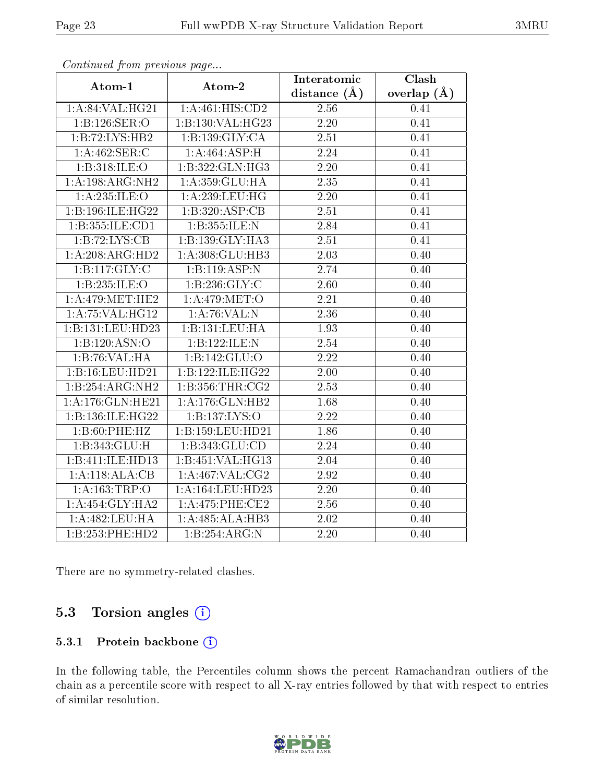| Atom-1                            | Atom-2              | Clash<br>Interatomic |               |  |
|-----------------------------------|---------------------|----------------------|---------------|--|
|                                   |                     | distance $(A)$       | overlap $(A)$ |  |
| 1:A:84:VAL:HG21                   | 1:A:461:HIS:CD2     | 2.56                 | 0.41          |  |
| 1: B: 126: SER: O                 | 1:B:130:VAL:HG23    | 2.20                 | 0.41          |  |
| 1:B:72:LYS:HB2                    | 1:B:139:GLY:CA      | 2.51                 | 0.41          |  |
| $1:A:462:\overline{\text{SER:C}}$ | 1:A:464:ASP:H       | 2.24                 | 0.41          |  |
| 1:B:318:ILE:O                     | 1:B:322:GLN:HG3     | 2.20                 | 0.41          |  |
| 1:A:198:ARG:NH2                   | 1:A:359:GLU:HA      | 2.35                 | 0.41          |  |
| 1:A:235:ILE:O                     | 1:A:239:LEU:HG      | 2.20                 | 0.41          |  |
| 1:B:196:ILE:HG22                  | 1:B:320:ASP:CB      | 2.51                 | 0.41          |  |
| 1:B:355:ILE:CD1                   | 1:B:355:ILE:N       | 2.84                 | 0.41          |  |
| 1:B:72:LYS:CB                     | 1:B:139:GLY:HA3     | 2.51                 | 0.41          |  |
| 1:A:208:ARG:HD2                   | 1:A:308:GLU:HB3     | 2.03                 | 0.40          |  |
| 1:B:117:GLY:C                     | 1:B:119:ASP:N       | 2.74                 | 0.40          |  |
| 1:B:235:ILE:O                     | 1: B: 236: GLY: C   | $2.60\,$             | 0.40          |  |
| 1: A:479:MET:HE2                  | 1:A:479:MET:O       | 2.21                 | 0.40          |  |
| 1: A:75: VAL:HG12                 | 1:A:76:VAL:N        | 2.36                 | 0.40          |  |
| 1:B:131:LEU:HD23                  | 1:B:131:LEU:HA      | 1.93                 | 0.40          |  |
| 1:B:120:ASN:O                     | 1:B:122:ILE:N       | 2.54                 | 0.40          |  |
| 1:B:76:VAL:HA                     | 1:B:142:GLU:O       | $\overline{2.22}$    | 0.40          |  |
| 1:B:16:LEU:HD21                   | 1:B:122:ILE:HG22    | $2.00\,$             | 0.40          |  |
| 1:B:254:ARG:NH2                   | 1: B: 356: THR: CG2 | 2.53                 | 0.40          |  |
| 1:A:176:GLN:HE21                  | 1: A:176: GLN: HB2  | 1.68                 | 0.40          |  |
| 1:B:136:ILE:HG22                  | 1:B:137:LYS:O       | 2.22                 | 0.40          |  |
| 1:B:60:PHE:HZ                     | 1:B:159:LEU:HD21    | 1.86                 | 0.40          |  |
| 1: B: 343: GLU: H                 | 1:B:343:GLU:CD      | 2.24                 | 0.40          |  |
| 1:B:411:ILE:HD13                  | 1:B:451:VAL:HG13    | 2.04                 | 0.40          |  |
| 1:A:118:ALA:CB                    | 1:A:467:VAL:CG2     | $\overline{2.92}$    | 0.40          |  |
| 1:A:163:TRP:O                     | 1:A:164:LEU:HD23    | 2.20                 | 0.40          |  |
| 1:A:454:GLY:HA2                   | 1: A:475: PHE:CE2   | 2.56                 | 0.40          |  |
| 1:A:482:LEU:HA                    | 1:A:485:ALA:HB3     | 2.02                 | 0.40          |  |
| 1:B:253:PHE:HD2                   | 1:B:254:ARG:N       | 2.20                 | 0.40          |  |

There are no symmetry-related clashes.

### 5.3 Torsion angles (i)

#### 5.3.1 Protein backbone (i)

In the following table, the Percentiles column shows the percent Ramachandran outliers of the chain as a percentile score with respect to all X-ray entries followed by that with respect to entries of similar resolution.

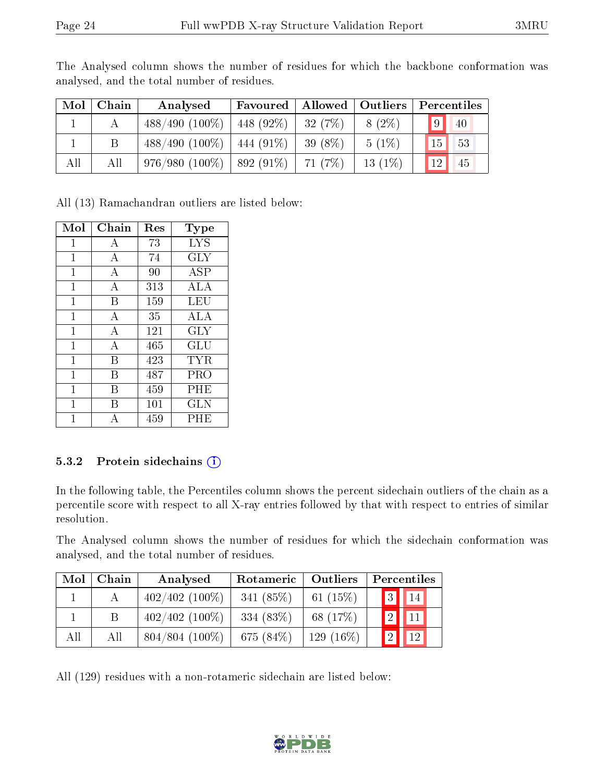| Mol | Chain | Analysed         |             |          |           | Favoured   Allowed   Outliers   Percentiles |
|-----|-------|------------------|-------------|----------|-----------|---------------------------------------------|
|     |       | $488/490(100\%)$ | 448 (92\%)  | 32(7%)   | $8(2\%)$  | 9 <br>$\sqrt{40}$                           |
|     |       | $488/490(100\%)$ | 444 (91\%)  | 39 (8\%) | $5(1\%)$  | $\boxed{53}$<br>15                          |
| All | All   | $976/980(100\%)$ | $892(91\%)$ | 71 (7%)  | $13(1\%)$ | 45<br>12                                    |

The Analysed column shows the number of residues for which the backbone conformation was analysed, and the total number of residues.

All (13) Ramachandran outliers are listed below:

| Mol | Chain | $\operatorname{Res}$ | Type                 |
|-----|-------|----------------------|----------------------|
| 1   | А     | 73                   | <b>LYS</b>           |
| 1   | А     | 74                   | <b>GLY</b>           |
| 1   | А     | 90                   | ASP                  |
| 1   | А     | 313                  | <b>ALA</b>           |
| 1   | B     | 159                  | LEU                  |
| 1   | А     | 35                   | ALA                  |
| 1   | А     | 121                  | $\rm GLY$            |
| 1   | А     | 465                  | $\operatorname{GLU}$ |
| 1   | В     | 423                  | TYR                  |
| 1   | В     | 487                  | PRO                  |
| 1   | В     | 459                  | PHE                  |
| 1   | В     | 101                  | <b>GLN</b>           |
| 1   | А     | 459                  | PHE                  |

#### 5.3.2 Protein sidechains  $(i)$

In the following table, the Percentiles column shows the percent sidechain outliers of the chain as a percentile score with respect to all X-ray entries followed by that with respect to entries of similar resolution.

The Analysed column shows the number of residues for which the sidechain conformation was analysed, and the total number of residues.

| Mol | Chain | Analysed          | Rotameric   Outliers |             | Percentiles                          |
|-----|-------|-------------------|----------------------|-------------|--------------------------------------|
|     |       | $402/402$ (100%)  | 341 $(85%)$          | 61 $(15%)$  | $\vert 3 \vert \vert 14 \vert$       |
|     | B.    | $402/402$ (100\%) | 334(83%)             | 68 (17%)    | $\vert 2 \vert \vert \vert 11 \vert$ |
| All | All   | $804/804$ (100%)  | 675 (84\%)           | $129(16\%)$ | 12                                   |

All (129) residues with a non-rotameric sidechain are listed below:

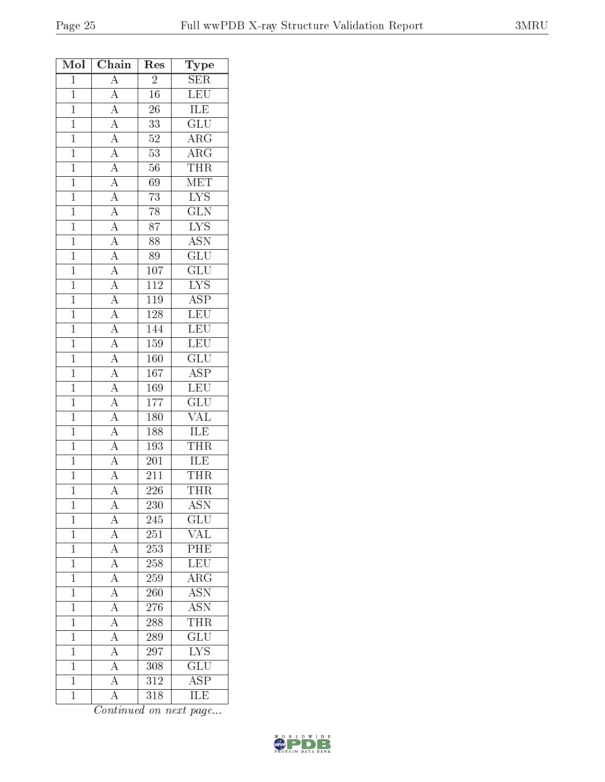| Mol            | Chain                                                                                                                                                                                                                                                       | Res              | Type                      |
|----------------|-------------------------------------------------------------------------------------------------------------------------------------------------------------------------------------------------------------------------------------------------------------|------------------|---------------------------|
| $\mathbf{1}$   | $\overline{A}$                                                                                                                                                                                                                                              | $\overline{2}$   | SER                       |
| $\mathbf{1}$   | $\overline{A}$                                                                                                                                                                                                                                              | 16               | <b>LEU</b>                |
| $\overline{1}$ |                                                                                                                                                                                                                                                             | 26               | <b>ILE</b>                |
| $\overline{1}$ |                                                                                                                                                                                                                                                             | $\overline{33}$  | $\overline{\text{GLU}}$   |
| $\mathbf{1}$   |                                                                                                                                                                                                                                                             | $52\,$           | $\rm{ARG}$                |
| $\overline{1}$ |                                                                                                                                                                                                                                                             | 53               | $\overline{\rm ARG}$      |
| $\overline{1}$ |                                                                                                                                                                                                                                                             | $56\,$           | <b>THR</b>                |
| $\overline{1}$ |                                                                                                                                                                                                                                                             | 69               | MET                       |
| $\overline{1}$ |                                                                                                                                                                                                                                                             | $\overline{73}$  | $\overline{\text{LYS}}$   |
| $\mathbf{1}$   |                                                                                                                                                                                                                                                             | $\overline{78}$  | $\overline{\text{GLN}}$   |
| $\overline{1}$ |                                                                                                                                                                                                                                                             | $\overline{87}$  | $\overline{\text{LYS}}$   |
| $\mathbf{1}$   |                                                                                                                                                                                                                                                             | 88               | $\overline{\text{ASN}}$   |
| $\overline{1}$ |                                                                                                                                                                                                                                                             | $\overline{89}$  | $\overline{{\rm GLU}}$    |
| $\overline{1}$ | $\frac{\overline{A}}{\overline{A}}$ $\frac{\overline{A}}{\overline{A}}$ $\frac{\overline{A}}{\overline{A}}$ $\frac{\overline{A}}{\overline{A}}$ $\frac{\overline{A}}{\overline{A}}$ $\frac{\overline{A}}{\overline{A}}$ $\frac{\overline{A}}{\overline{A}}$ | 107              | $\overline{\text{GLU}}$   |
| $\overline{1}$ |                                                                                                                                                                                                                                                             | $\overline{112}$ | $\overline{\text{LYS}}$   |
| $\mathbf{1}$   | $\frac{\overline{A}}{\overline{A}}$ $\frac{\overline{A}}{\overline{A}}$ $\frac{\overline{A}}{\overline{A}}$ $\frac{\overline{A}}{\overline{A}}$ $\frac{\overline{A}}{\overline{A}}$                                                                         | 119              | $\overline{\text{ASP}}$   |
| $\overline{1}$ |                                                                                                                                                                                                                                                             | 128              | $\overline{\text{LEU}}$   |
| $\overline{1}$ |                                                                                                                                                                                                                                                             | 144              | LEU                       |
| $\overline{1}$ |                                                                                                                                                                                                                                                             | 159              | $\overline{\text{LEU}}$   |
| $\mathbf{1}$   |                                                                                                                                                                                                                                                             | 160              | $\overline{{\rm GLU}}$    |
| $\mathbf{1}$   |                                                                                                                                                                                                                                                             | 167              | $\overline{\text{ASP}}$   |
| $\overline{1}$ |                                                                                                                                                                                                                                                             | 169              | LEU                       |
| $\overline{1}$ |                                                                                                                                                                                                                                                             | 177              | $\overline{{\rm GLU}}$    |
| $\mathbf{1}$   |                                                                                                                                                                                                                                                             | 180              | VAL                       |
| $\mathbf{1}$   |                                                                                                                                                                                                                                                             | 188              | $\overline{\text{ILE}}$   |
| $\mathbf{1}$   | $\frac{\overline{A}}{\overline{A}}$                                                                                                                                                                                                                         | 193              | <b>THR</b>                |
| $\overline{1}$ |                                                                                                                                                                                                                                                             | 201              | ILE                       |
| $\overline{1}$ |                                                                                                                                                                                                                                                             | $\overline{211}$ | THR                       |
| $\overline{1}$ | $\overline{A}$                                                                                                                                                                                                                                              | 226              | <b>THR</b>                |
| $\mathbf{1}$   | $\overline{A}$                                                                                                                                                                                                                                              | $\overline{230}$ | $\overline{\mathrm{ASN}}$ |
| $\mathbf{1}$   | $\overline{A}$                                                                                                                                                                                                                                              | 245              | GLU                       |
| $\overline{1}$ | $\overline{A}$                                                                                                                                                                                                                                              | $251\,$          | $\overline{\text{VAL}}$   |
| $\mathbf{1}$   | $\overline{A}$                                                                                                                                                                                                                                              | 253              | PHE                       |
| $\mathbf{1}$   | $\overline{A}$                                                                                                                                                                                                                                              | 258              | LEU                       |
| $\mathbf{1}$   | $\overline{A}$                                                                                                                                                                                                                                              | $259\,$          | $\overline{\rm{ARG}}$     |
| $\mathbf{1}$   | $\overline{A}$                                                                                                                                                                                                                                              | 260              | ASN                       |
| $\mathbf{1}$   | $\frac{\overline{A}}{\overline{A}}$                                                                                                                                                                                                                         | 276              | $\overline{\mathrm{ASN}}$ |
| $\mathbf 1$    |                                                                                                                                                                                                                                                             | 288              | THR                       |
| $\mathbf{1}$   | $\overline{A}$                                                                                                                                                                                                                                              | 289              | $\overline{{\rm GLU}}$    |
| $\mathbf{1}$   | $\overline{A}$                                                                                                                                                                                                                                              | 297              | $\overline{\text{LYS}}$   |
| $\mathbf{1}$   | $\overline{A}$                                                                                                                                                                                                                                              | 308              | GLU                       |
| $\mathbf{1}$   | $\overline{A}$                                                                                                                                                                                                                                              | $\overline{312}$ | $\overline{\text{ASP}}$   |
| $\mathbf{1}$   | $\overline{\rm A}$                                                                                                                                                                                                                                          | 318              | $\overline{\text{ILE}}$   |

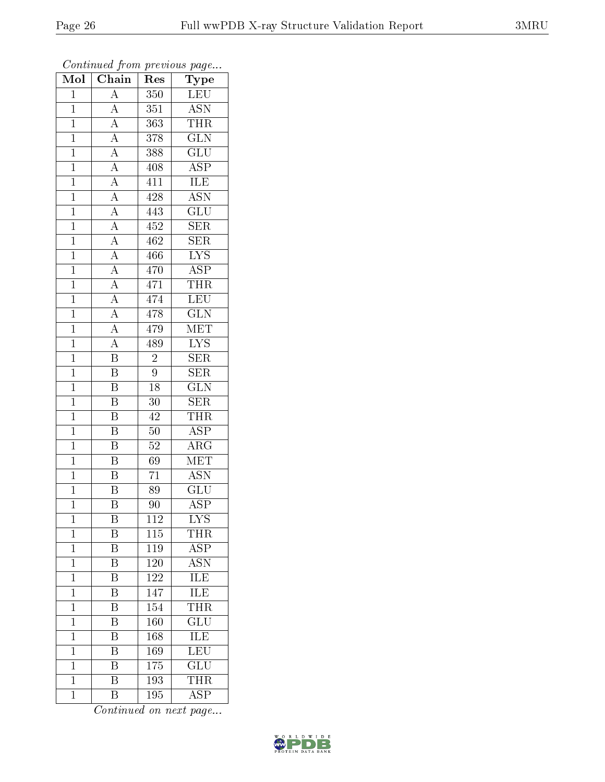| Mol            | Chain                                                                                                                                           | $\operatorname{Res}% \left( \mathcal{N}\right) \equiv\operatorname{Res}(\mathcal{N}_{0})\cap\mathcal{N}_{1}$ | ${\rm \bar{Ty}pe}$      |
|----------------|-------------------------------------------------------------------------------------------------------------------------------------------------|--------------------------------------------------------------------------------------------------------------|-------------------------|
| $\mathbf{1}$   | $\overline{A}$                                                                                                                                  | 350                                                                                                          | <b>LEU</b>              |
| $\overline{1}$ | $\overline{A}$                                                                                                                                  | 351                                                                                                          | <b>ASN</b>              |
| $\mathbf{1}$   | $\frac{\overline{A}}{\overline{A}}$                                                                                                             | 363                                                                                                          | <b>THR</b>              |
| $\mathbf{1}$   |                                                                                                                                                 | 378                                                                                                          | $\overline{\text{GLN}}$ |
| $\overline{1}$ | $\frac{\overline{A}}{\overline{A}}$                                                                                                             | 388                                                                                                          | $\overline{\text{GLU}}$ |
| $\mathbf{1}$   |                                                                                                                                                 | 408                                                                                                          | <b>ASP</b>              |
| $\overline{1}$ | $\frac{\overline{A}}{\overline{A}}$                                                                                                             | 411                                                                                                          | <b>ILE</b>              |
| $\mathbf{1}$   |                                                                                                                                                 | 428                                                                                                          | $\overline{\text{ASN}}$ |
| $\mathbf{1}$   |                                                                                                                                                 | 443                                                                                                          | $\overline{\text{GLU}}$ |
| $\mathbf{1}$   |                                                                                                                                                 | 452                                                                                                          | $\overline{\text{SER}}$ |
| $\mathbf{1}$   |                                                                                                                                                 | 462                                                                                                          | $\overline{\text{SER}}$ |
| $\overline{1}$ |                                                                                                                                                 | 466                                                                                                          | $\overline{\text{LYS}}$ |
| $\overline{1}$ |                                                                                                                                                 | 470                                                                                                          | $\overline{\text{ASP}}$ |
| $\mathbf{1}$   | $\frac{\overline{A}}{\overline{A}}$ $\frac{\overline{A}}{\overline{A}}$ $\frac{\overline{A}}{\overline{A}}$ $\frac{\overline{A}}{\overline{A}}$ | 471                                                                                                          | <b>THR</b>              |
| $\overline{1}$ |                                                                                                                                                 | 474                                                                                                          | LEU                     |
| $\mathbf{1}$   |                                                                                                                                                 | 478                                                                                                          | $\overline{\text{GLN}}$ |
| $\overline{1}$ | $\overline{A}$                                                                                                                                  | 479                                                                                                          | MET                     |
| $\mathbf{1}$   | $\overline{A}$                                                                                                                                  | 489                                                                                                          | $\overline{\text{LYS}}$ |
| $\mathbf 1$    | $\overline{\mathbf{B}}$                                                                                                                         | $\overline{2}$                                                                                               | $\overline{\text{SER}}$ |
| $\mathbf{1}$   | $\overline{\mathbf{B}}$                                                                                                                         | $\overline{9}$                                                                                               | $\overline{\text{SER}}$ |
| $\overline{1}$ | $\overline{\mathrm{B}}$                                                                                                                         | 18                                                                                                           | $\overline{\text{GLN}}$ |
| $\overline{1}$ | $\overline{\mathbf{B}}$                                                                                                                         | $\overline{30}$                                                                                              | $\overline{\text{SER}}$ |
| $\mathbf{1}$   | $\overline{\mathbf{B}}$                                                                                                                         | 42                                                                                                           | <b>THR</b>              |
| $\overline{1}$ | $\overline{\mathrm{B}}$                                                                                                                         | $50\,$                                                                                                       | $\overline{\text{ASP}}$ |
| $\mathbf{1}$   | $\overline{\mathbf{B}}$                                                                                                                         | 52                                                                                                           | $\overline{\rm{ARG}}$   |
| $\mathbf{1}$   | $\overline{\mathbf{B}}$                                                                                                                         | 69                                                                                                           | $\overline{\text{MET}}$ |
| $\mathbf{1}$   | $\overline{\mathbf{B}}$                                                                                                                         | $\overline{71}$                                                                                              | <b>ASN</b>              |
| $\mathbf{1}$   | B                                                                                                                                               | 89                                                                                                           | GLU                     |
| $\mathbf 1$    | $\overline{\mathrm{B}}$                                                                                                                         | 90                                                                                                           | $\overline{\text{ASP}}$ |
| 1              | B                                                                                                                                               | 112                                                                                                          | $\overline{\rm LYS}$    |
| $\mathbf 1$    | Β                                                                                                                                               | 115                                                                                                          | <b>THR</b>              |
| $\mathbf 1$    | $\overline{\mathrm{B}}$                                                                                                                         | 119                                                                                                          | <b>ASP</b>              |
| $\mathbf 1$    | Β                                                                                                                                               | 120                                                                                                          | ASN                     |
| $\mathbf{1}$   | $\overline{\mathrm{B}}$                                                                                                                         | 122                                                                                                          | $\overline{\text{ILE}}$ |
| $\mathbf{1}$   | Β                                                                                                                                               | 147                                                                                                          | $\overline{\text{ILE}}$ |
| $\mathbf 1$    | $\overline{\mathrm{B}}$                                                                                                                         | $\overline{154}$                                                                                             | <b>THR</b>              |
| $\mathbf{1}$   | Β                                                                                                                                               | 160                                                                                                          | GLU                     |
| $\mathbf 1$    | $\overline{\rm B}$                                                                                                                              | 168                                                                                                          | ILE                     |
| $\mathbf 1$    | $\overline{\mathrm{B}}$                                                                                                                         | 169                                                                                                          | $\overline{\text{LEU}}$ |
| $\mathbf 1$    | Β                                                                                                                                               | 175                                                                                                          | GLU                     |
| $\mathbf 1$    | $\overline{\mathrm{B}}$                                                                                                                         | 193                                                                                                          | <b>THR</b>              |
| $\mathbf 1$    | Β                                                                                                                                               | 195                                                                                                          | <b>ASP</b>              |

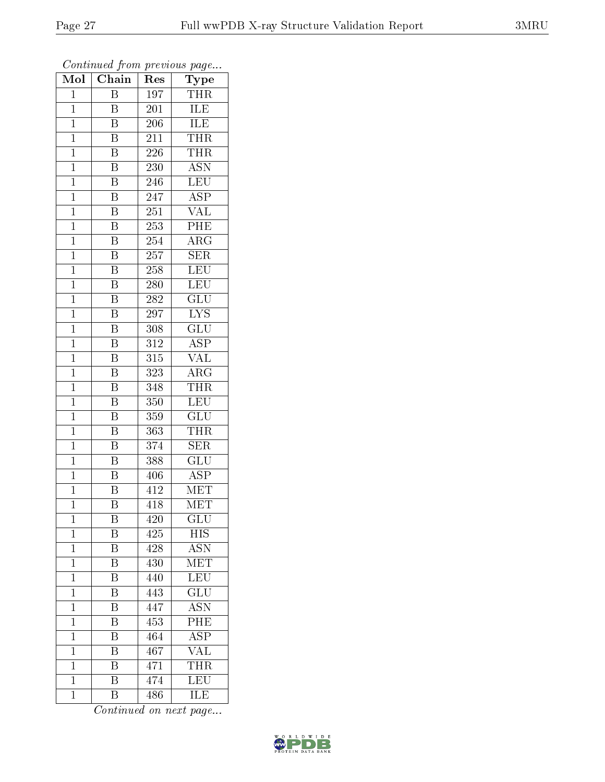| Mol            | Chain                   | Res              | Type                               |
|----------------|-------------------------|------------------|------------------------------------|
| $\mathbf 1$    | Β                       | 197              | THR                                |
| $\mathbf 1$    | Β                       | 201              | ILE                                |
| $\mathbf{1}$   | Β                       | 206              | ILE                                |
| $\mathbf 1$    | B                       | 211              | THR                                |
| $\mathbf{1}$   | $\overline{\mathbf{B}}$ | 226              | THR                                |
| $\mathbf 1$    | B                       | 230              | $\overline{\mathrm{ASN}}$          |
| $\mathbf{1}$   | $\overline{\text{B}}$   | 246              | LEU                                |
| $\mathbf{1}$   | $\overline{\mathrm{B}}$ | 247              | $\overline{\text{ASP}}$            |
| $\mathbf{1}$   | $\overline{\text{B}}$   | 251              | $\overline{\text{VAL}}$            |
| $\mathbf 1$    | $\overline{\mathrm{B}}$ | $\overline{253}$ | PHE                                |
| $\mathbf{1}$   | Β                       | 254              | $\rm{ARG}$                         |
| $\mathbf{1}$   | $\overline{\mathrm{B}}$ | 257              | $\overline{\text{SER}}$            |
| $\mathbf{1}$   | $\overline{\mathrm{B}}$ | 258              | <b>LEU</b>                         |
| $\mathbf 1$    | B                       | 280              | <b>LEU</b>                         |
| $\overline{1}$ | $\overline{\mathrm{B}}$ | 282              | $\overline{\text{GLU}}$            |
| $\mathbf{1}$   | Β                       | 297              | ${\rm LYS}$                        |
| $\mathbf 1$    | $\overline{\mathrm{B}}$ | $\overline{308}$ | $\overline{\text{GLU}}$            |
| $\mathbf{1}$   | Β                       | 312              | <b>ASP</b>                         |
| $\overline{1}$ | B                       | 315              | VAL                                |
| $\mathbf{1}$   | Β                       | $\overline{3}23$ | $\rm{ARG}$                         |
| $\mathbf 1$    | $\overline{\mathrm{B}}$ | 348              | <b>THR</b>                         |
| $\mathbf{1}$   | $\overline{\mathrm{B}}$ | 350              | LEU                                |
| $\mathbf 1$    | B                       | 359              | GLU                                |
| $\mathbf{1}$   | $\overline{\mathrm{B}}$ | 363              | THR                                |
| $\mathbf{1}$   | $\overline{\mathrm{B}}$ | 374              | <b>SER</b>                         |
| $\mathbf{1}$   | $\overline{\mathrm{B}}$ | 388              | GLU                                |
| $\mathbf{1}$   | $\overline{\mathrm{B}}$ | 406              | <b>ASP</b>                         |
| $\mathbf{1}$   | B                       | 412              | MET                                |
| $\mathbf 1$    | $\overline{\mathrm{B}}$ | 418              | $\overline{\text{MET}}$            |
| 1              | Β                       | 420              | $\mathrm{GL}\overline{\mathrm{U}}$ |
| $\mathbf 1$    | Β                       | 425              | HIS                                |
| $\mathbf 1$    | $\overline{\mathrm{B}}$ | 428              | $\overline{\text{ASN}}$            |
| $\mathbf{1}$   | Β                       | 430              | ${\rm MET}$                        |
| $\overline{1}$ | $\overline{\mathrm{B}}$ | 440              | <b>LEU</b>                         |
| $\mathbf{1}$   | Β                       | 443              | $\widetilde{{\rm GLU}}$            |
| $\mathbf 1$    | $\overline{\mathrm{B}}$ | 447              | <b>ASN</b>                         |
| 1              | Β                       | 453              | PHE                                |
| $\overline{1}$ | B                       | 464              | <b>ASP</b>                         |
| $\mathbf 1$    | Β                       | 467              | VAL                                |
| $\mathbf{1}$   | B                       | 471              | THR                                |
| $\mathbf{1}$   | $\overline{\mathrm{B}}$ | 474              | $\overline{\text{LEU}}$            |
| $\mathbf{1}$   | B                       | 486              | ILE                                |

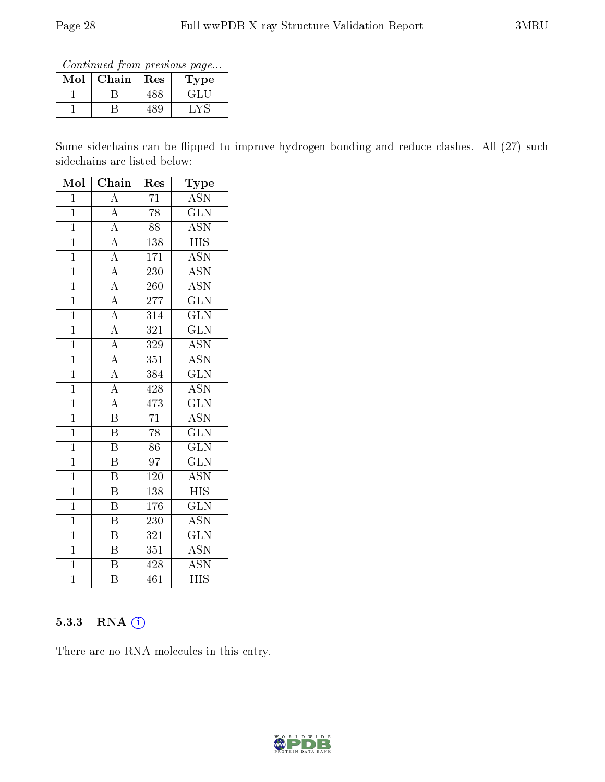Continued from previous page...

| Mol | ${\rm Chain}$ | $\operatorname{Res}% \left( \mathcal{N}\right) \equiv\operatorname{Res}(\mathcal{N}_{0})\cap\mathcal{N}_{1}$ | Type                      |
|-----|---------------|--------------------------------------------------------------------------------------------------------------|---------------------------|
|     |               |                                                                                                              | $\mathcal{L}^{\text{II}}$ |
|     |               | -89                                                                                                          |                           |

Some sidechains can be flipped to improve hydrogen bonding and reduce clashes. All (27) such sidechains are listed below:

| Mol            | $\overline{\text{C}}$ hain          | Res              | ${\bf \overline{Type}}$   |  |
|----------------|-------------------------------------|------------------|---------------------------|--|
| $\overline{1}$ | $\overline{\rm A}$                  | 71               | <b>ASN</b>                |  |
| $\mathbf{1}$   | $\overline{A}$                      | $\overline{78}$  | $\overline{\text{GLN}}$   |  |
| $\mathbf{1}$   | $\overline{A}$                      | 88               | <b>ASN</b>                |  |
| $\overline{1}$ | $\overline{A}$                      | 138              | <b>HIS</b>                |  |
| $\overline{1}$ | $\frac{\overline{A}}{\overline{A}}$ | 171              | $\overline{\text{ASN}}$   |  |
| $\overline{1}$ |                                     | 230              | $\overline{\text{ASN}}$   |  |
| $\overline{1}$ | $\overline{A}$                      | 260              | $\overline{\mathrm{ASN}}$ |  |
| $\overline{1}$ |                                     | $\overline{277}$ | $\overline{\text{GLN}}$   |  |
| $\overline{1}$ | $\frac{\overline{A}}{A}$            | $\overline{314}$ | $\overline{\text{GLN}}$   |  |
| $\overline{1}$ | $\overline{A}$                      | 321              | $\overline{\text{GLN}}$   |  |
| $\overline{1}$ | $\overline{A}$                      | 329              | <b>ASN</b>                |  |
| $\overline{1}$ | $\overline{A}$                      | $\overline{351}$ | $\overline{\mathrm{ASN}}$ |  |
| $\overline{1}$ | $\overline{A}$                      | 384              | $\rm GLN$                 |  |
| $\mathbf{1}$   | $\overline{A}$                      | 428              | <b>ASN</b>                |  |
| $\overline{1}$ | $\overline{A}$                      | 473              | $\overline{\text{GLN}}$   |  |
| $\overline{1}$ | $\overline{\mathbf{B}}$             | $\overline{71}$  | <b>ASN</b>                |  |
| $\overline{1}$ | $\overline{\mathrm{B}}$             | $\overline{78}$  | $\overline{\text{GLN}}$   |  |
| $\mathbf{1}$   | $\, {\bf B}$                        | 86               | $\overline{\text{GLN}}$   |  |
| $\mathbf{1}$   | $\overline{\mathrm{B}}$             | 97               | $\overline{\text{GLN}}$   |  |
| $\overline{1}$ | $\overline{\mathrm{B}}$             | 120              | $\overline{\mathrm{ASN}}$ |  |
| $\overline{1}$ | B                                   | 138              | $\overline{HIS}$          |  |
| $\overline{1}$ | $\overline{\mathrm{B}}$             | 176              | $\overline{\text{GLN}}$   |  |
| $\mathbf{1}$   | B                                   | 230              | <b>ASN</b>                |  |
| $\overline{1}$ | $\overline{\mathrm{B}}$             | 321              | $\overline{\text{GLN}}$   |  |
| $\overline{1}$ | $\overline{\mathrm{B}}$             | 351              | <b>ASN</b>                |  |
| $\overline{1}$ | B                                   | 428              | $\overline{\mathrm{ASN}}$ |  |
| $\overline{1}$ | $\overline{\mathrm{B}}$             | 461              | $\overline{\mathrm{HIS}}$ |  |

#### 5.3.3 RNA (1)

There are no RNA molecules in this entry.

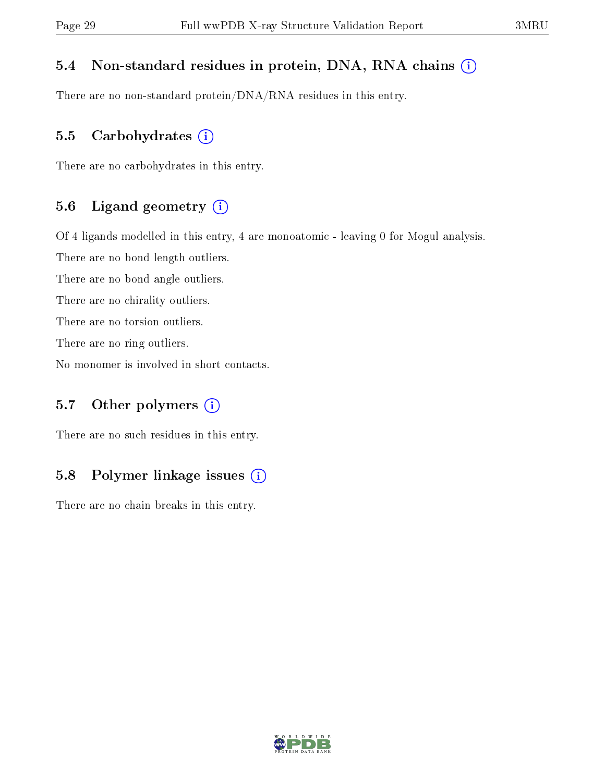#### 5.4 Non-standard residues in protein, DNA, RNA chains (i)

There are no non-standard protein/DNA/RNA residues in this entry.

#### 5.5 Carbohydrates  $(i)$

There are no carbohydrates in this entry.

#### 5.6 Ligand geometry (i)

Of 4 ligands modelled in this entry, 4 are monoatomic - leaving 0 for Mogul analysis.

There are no bond length outliers.

There are no bond angle outliers.

There are no chirality outliers.

There are no torsion outliers.

There are no ring outliers.

No monomer is involved in short contacts.

#### 5.7 [O](https://www.wwpdb.org/validation/2017/XrayValidationReportHelp#nonstandard_residues_and_ligands)ther polymers  $(i)$

There are no such residues in this entry.

#### 5.8 Polymer linkage issues  $(i)$

There are no chain breaks in this entry.

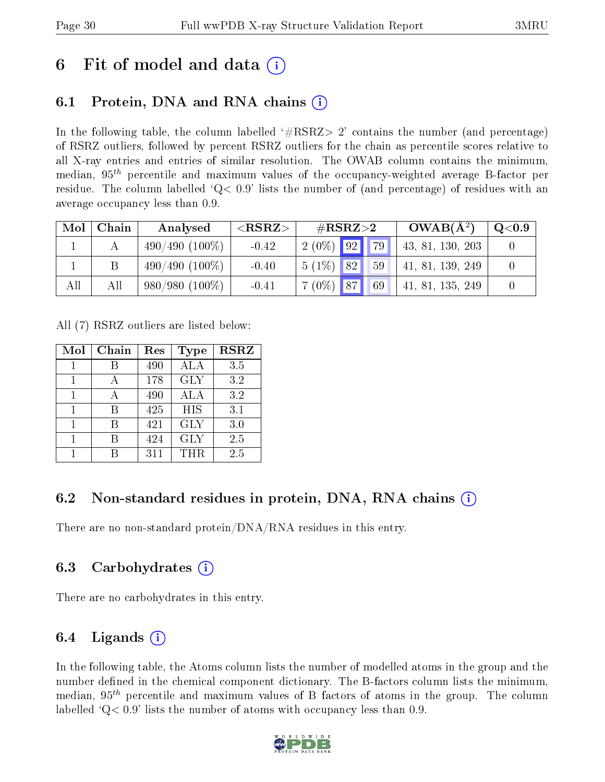## 6 Fit of model and data  $\left( \cdot \right)$

### 6.1 Protein, DNA and RNA chains (i)

In the following table, the column labelled  $#RSRZ>2'$  contains the number (and percentage) of RSRZ outliers, followed by percent RSRZ outliers for the chain as percentile scores relative to all X-ray entries and entries of similar resolution. The OWAB column contains the minimum, median,  $95<sup>th</sup>$  percentile and maximum values of the occupancy-weighted average B-factor per residue. The column labelled  $Q < 0.9$  lists the number of (and percentage) of residues with an average occupancy less than 0.9.

| Mol | Chain | Analysed         | ${ <\hspace{-1.5pt}{\mathrm{RSRZ}} \hspace{-1.5pt}>}$ | $\#RSRZ\!\!>\!2$ |                | $OWAB(A^2)$      | $\mathrm{Q}{<}0.9$ |
|-----|-------|------------------|-------------------------------------------------------|------------------|----------------|------------------|--------------------|
|     |       | $490/490(100\%)$ | $-0.42$                                               |                  | $2(0\%)$ 92 79 | 43, 81, 130, 203 |                    |
|     |       | $490/490(100\%)$ | $-0.40$                                               | $5(1\%)$ 82      | 59             | 41, 81, 139, 249 |                    |
| All | All   | $980/980(100\%)$ | $-0.41$                                               | $7(0\%)$ 87      | 69             | 41, 81, 135, 249 |                    |

All (7) RSRZ outliers are listed below:

| Mol | Chain | Res | Type       | <b>RSRZ</b> |
|-----|-------|-----|------------|-------------|
|     |       | 490 | ALA        | 3.5         |
| 1   |       | 178 | <b>GLY</b> | 3.2         |
|     |       | 490 | ALA        | 3.2         |
| 1   | R     | 425 | <b>HIS</b> | 3.1         |
| 1   | R     | 421 | <b>GLY</b> | 3.0         |
|     |       | 424 | <b>GLY</b> | 2.5         |
|     |       | 311 | <b>THR</b> | 2.5         |

### 6.2 Non-standard residues in protein, DNA, RNA chains (i)

There are no non-standard protein/DNA/RNA residues in this entry.

### 6.3 Carbohydrates (i)

There are no carbohydrates in this entry.

### 6.4 Ligands  $(i)$

In the following table, the Atoms column lists the number of modelled atoms in the group and the number defined in the chemical component dictionary. The B-factors column lists the minimum, median,  $95<sup>th</sup>$  percentile and maximum values of B factors of atoms in the group. The column labelled  $Q< 0.9$ ' lists the number of atoms with occupancy less than 0.9.